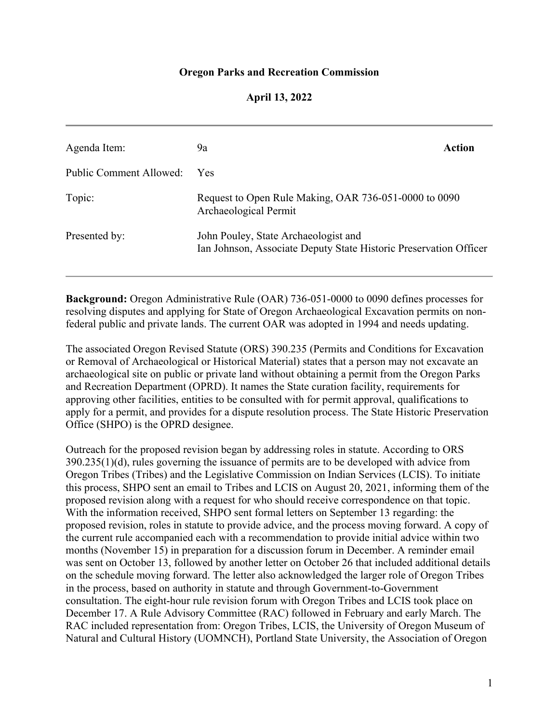# **Oregon Parks and Recreation Commission**

# **April 13, 2022**

| Agenda Item:            | 9a                                                                                                        | Action |
|-------------------------|-----------------------------------------------------------------------------------------------------------|--------|
| Public Comment Allowed: | <b>Yes</b>                                                                                                |        |
| Topic:                  | Request to Open Rule Making, OAR 736-051-0000 to 0090<br>Archaeological Permit                            |        |
| Presented by:           | John Pouley, State Archaeologist and<br>Ian Johnson, Associate Deputy State Historic Preservation Officer |        |

**Background:** Oregon Administrative Rule (OAR) 736-051-0000 to 0090 defines processes for resolving disputes and applying for State of Oregon Archaeological Excavation permits on nonfederal public and private lands. The current OAR was adopted in 1994 and needs updating.

The associated Oregon Revised Statute (ORS) 390.235 (Permits and Conditions for Excavation or Removal of Archaeological or Historical Material) states that a person may not excavate an archaeological site on public or private land without obtaining a permit from the Oregon Parks and Recreation Department (OPRD). It names the State curation facility, requirements for approving other facilities, entities to be consulted with for permit approval, qualifications to apply for a permit, and provides for a dispute resolution process. The State Historic Preservation Office (SHPO) is the OPRD designee.

Outreach for the proposed revision began by addressing roles in statute. According to ORS 390.235(1)(d), rules governing the issuance of permits are to be developed with advice from Oregon Tribes (Tribes) and the Legislative Commission on Indian Services (LCIS). To initiate this process, SHPO sent an email to Tribes and LCIS on August 20, 2021, informing them of the proposed revision along with a request for who should receive correspondence on that topic. With the information received, SHPO sent formal letters on September 13 regarding: the proposed revision, roles in statute to provide advice, and the process moving forward. A copy of the current rule accompanied each with a recommendation to provide initial advice within two months (November 15) in preparation for a discussion forum in December. A reminder email was sent on October 13, followed by another letter on October 26 that included additional details on the schedule moving forward. The letter also acknowledged the larger role of Oregon Tribes in the process, based on authority in statute and through Government-to-Government consultation. The eight-hour rule revision forum with Oregon Tribes and LCIS took place on December 17. A Rule Advisory Committee (RAC) followed in February and early March. The RAC included representation from: Oregon Tribes, LCIS, the University of Oregon Museum of Natural and Cultural History (UOMNCH), Portland State University, the Association of Oregon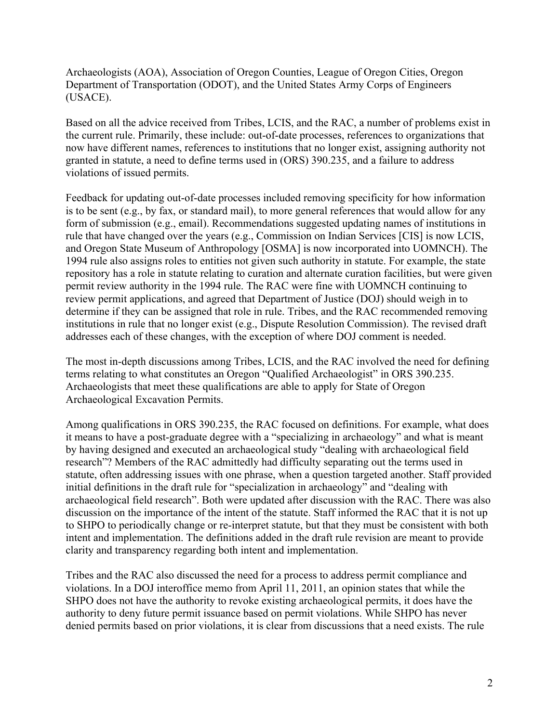Archaeologists (AOA), Association of Oregon Counties, League of Oregon Cities, Oregon Department of Transportation (ODOT), and the United States Army Corps of Engineers (USACE).

Based on all the advice received from Tribes, LCIS, and the RAC, a number of problems exist in the current rule. Primarily, these include: out-of-date processes, references to organizations that now have different names, references to institutions that no longer exist, assigning authority not granted in statute, a need to define terms used in (ORS) 390.235, and a failure to address violations of issued permits.

Feedback for updating out-of-date processes included removing specificity for how information is to be sent (e.g., by fax, or standard mail), to more general references that would allow for any form of submission (e.g., email). Recommendations suggested updating names of institutions in rule that have changed over the years (e.g., Commission on Indian Services [CIS] is now LCIS, and Oregon State Museum of Anthropology [OSMA] is now incorporated into UOMNCH). The 1994 rule also assigns roles to entities not given such authority in statute. For example, the state repository has a role in statute relating to curation and alternate curation facilities, but were given permit review authority in the 1994 rule. The RAC were fine with UOMNCH continuing to review permit applications, and agreed that Department of Justice (DOJ) should weigh in to determine if they can be assigned that role in rule. Tribes, and the RAC recommended removing institutions in rule that no longer exist (e.g., Dispute Resolution Commission). The revised draft addresses each of these changes, with the exception of where DOJ comment is needed.

The most in-depth discussions among Tribes, LCIS, and the RAC involved the need for defining terms relating to what constitutes an Oregon "Qualified Archaeologist" in ORS 390.235. Archaeologists that meet these qualifications are able to apply for State of Oregon Archaeological Excavation Permits.

Among qualifications in ORS 390.235, the RAC focused on definitions. For example, what does it means to have a post-graduate degree with a "specializing in archaeology" and what is meant by having designed and executed an archaeological study "dealing with archaeological field research"? Members of the RAC admittedly had difficulty separating out the terms used in statute, often addressing issues with one phrase, when a question targeted another. Staff provided initial definitions in the draft rule for "specialization in archaeology" and "dealing with archaeological field research". Both were updated after discussion with the RAC. There was also discussion on the importance of the intent of the statute. Staff informed the RAC that it is not up to SHPO to periodically change or re-interpret statute, but that they must be consistent with both intent and implementation. The definitions added in the draft rule revision are meant to provide clarity and transparency regarding both intent and implementation.

Tribes and the RAC also discussed the need for a process to address permit compliance and violations. In a DOJ interoffice memo from April 11, 2011, an opinion states that while the SHPO does not have the authority to revoke existing archaeological permits, it does have the authority to deny future permit issuance based on permit violations. While SHPO has never denied permits based on prior violations, it is clear from discussions that a need exists. The rule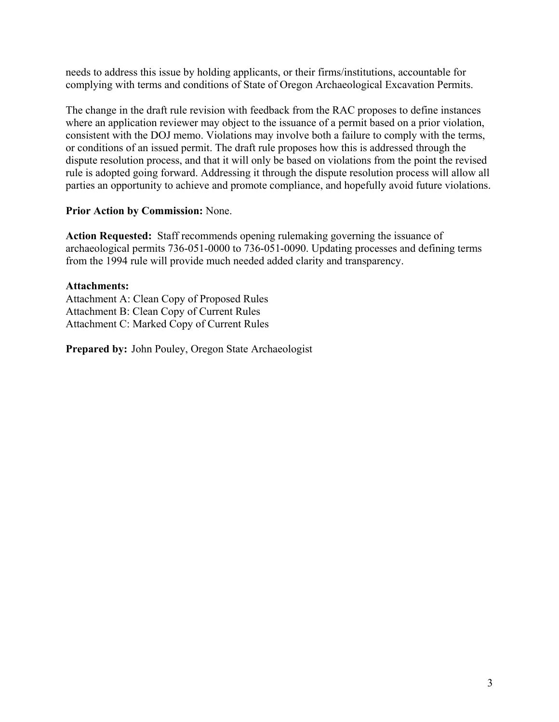needs to address this issue by holding applicants, or their firms/institutions, accountable for complying with terms and conditions of State of Oregon Archaeological Excavation Permits.

The change in the draft rule revision with feedback from the RAC proposes to define instances where an application reviewer may object to the issuance of a permit based on a prior violation, consistent with the DOJ memo. Violations may involve both a failure to comply with the terms, or conditions of an issued permit. The draft rule proposes how this is addressed through the dispute resolution process, and that it will only be based on violations from the point the revised rule is adopted going forward. Addressing it through the dispute resolution process will allow all parties an opportunity to achieve and promote compliance, and hopefully avoid future violations.

# **Prior Action by Commission:** None.

**Action Requested:** Staff recommends opening rulemaking governing the issuance of archaeological permits 736-051-0000 to 736-051-0090. Updating processes and defining terms from the 1994 rule will provide much needed added clarity and transparency.

# **Attachments:**

Attachment A: Clean Copy of Proposed Rules Attachment B: Clean Copy of Current Rules Attachment C: Marked Copy of Current Rules

**Prepared by:** John Pouley, Oregon State Archaeologist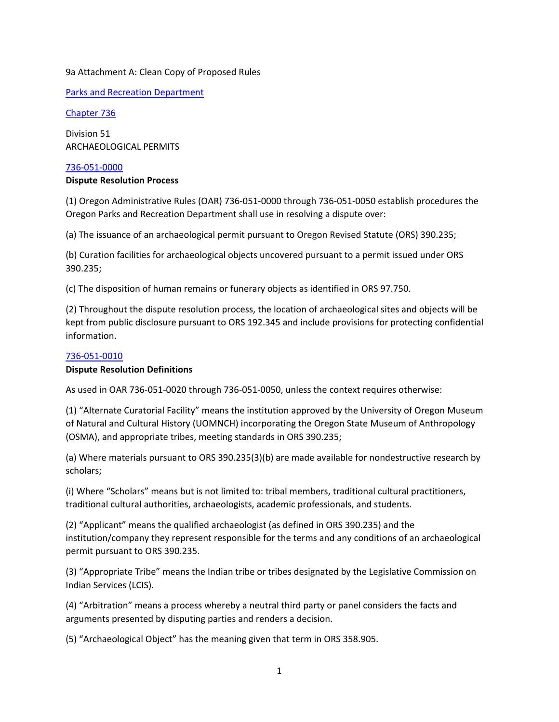## 9a Attachment A: Clean Copy of Proposed Rules

Parks and Recreation Department

Chapter 736

Division 51 ARCHAEOLOGICAL PERMITS

## 736‐051‐0000

## **Dispute Resolution Process**

(1) Oregon Administrative Rules (OAR) 736‐051‐0000 through 736‐051‐0050 establish procedures the Oregon Parks and Recreation Department shall use in resolving a dispute over:

(a) The issuance of an archaeological permit pursuant to Oregon Revised Statute (ORS) 390.235;

(b) Curation facilities for archaeological objects uncovered pursuant to a permit issued under ORS 390.235;

(c) The disposition of human remains or funerary objects as identified in ORS 97.750.

(2) Throughout the dispute resolution process, the location of archaeological sites and objects will be kept from public disclosure pursuant to ORS 192.345 and include provisions for protecting confidential information.

## 736‐051‐0010

## **Dispute Resolution Definitions**

As used in OAR 736‐051‐0020 through 736‐051‐0050, unless the context requires otherwise:

(1) "Alternate Curatorial Facility" means the institution approved by the University of Oregon Museum of Natural and Cultural History (UOMNCH) incorporating the Oregon State Museum of Anthropology (OSMA), and appropriate tribes, meeting standards in ORS 390.235;

(a) Where materials pursuant to ORS 390.235(3)(b) are made available for nondestructive research by scholars;

(i) Where "Scholars" means but is not limited to: tribal members, traditional cultural practitioners, traditional cultural authorities, archaeologists, academic professionals, and students.

(2) "Applicant" means the qualified archaeologist (as defined in ORS 390.235) and the institution/company they represent responsible for the terms and any conditions of an archaeological permit pursuant to ORS 390.235.

(3) "Appropriate Tribe" means the Indian tribe or tribes designated by the Legislative Commission on Indian Services (LCIS).

(4) "Arbitration" means a process whereby a neutral third party or panel considers the facts and arguments presented by disputing parties and renders a decision.

(5) "Archaeological Object" has the meaning given that term in ORS 358.905.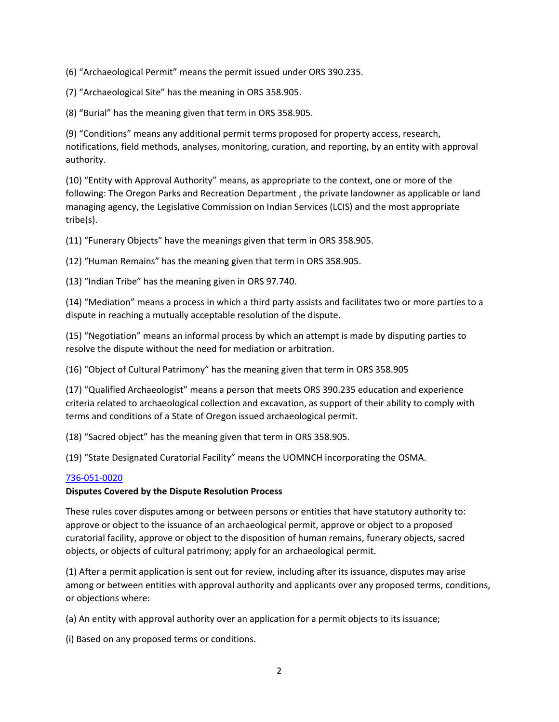(6) "Archaeological Permit" means the permit issued under ORS 390.235.

(7) "Archaeological Site" has the meaning in ORS 358.905.

(8) "Burial" has the meaning given that term in ORS 358.905.

(9) "Conditions" means any additional permit terms proposed for property access, research, notifications, field methods, analyses, monitoring, curation, and reporting, by an entity with approval authority.

(10) "Entity with Approval Authority" means, as appropriate to the context, one or more of the following: The Oregon Parks and Recreation Department , the private landowner as applicable or land managing agency, the Legislative Commission on Indian Services (LCIS) and the most appropriate tribe(s).

(11) "Funerary Objects" have the meanings given that term in ORS 358.905.

(12) "Human Remains" has the meaning given that term in ORS 358.905.

(13) "Indian Tribe" has the meaning given in ORS 97.740.

(14) "Mediation" means a process in which a third party assists and facilitates two or more parties to a dispute in reaching a mutually acceptable resolution of the dispute.

(15) "Negotiation" means an informal process by which an attempt is made by disputing parties to resolve the dispute without the need for mediation or arbitration.

(16) "Object of Cultural Patrimony" has the meaning given that term in ORS 358.905

(17) "Qualified Archaeologist" means a person that meets ORS 390.235 education and experience criteria related to archaeological collection and excavation, as support of their ability to comply with terms and conditions of a State of Oregon issued archaeological permit.

(18) "Sacred object" has the meaning given that term in ORS 358.905.

(19) "State Designated Curatorial Facility" means the UOMNCH incorporating the OSMA.

## 736‐051‐0020

## **Disputes Covered by the Dispute Resolution Process**

These rules cover disputes among or between persons or entities that have statutory authority to: approve or object to the issuance of an archaeological permit, approve or object to a proposed curatorial facility, approve or object to the disposition of human remains, funerary objects, sacred objects, or objects of cultural patrimony; apply for an archaeological permit.

(1) After a permit application is sent out for review, including after its issuance, disputes may arise among or between entities with approval authority and applicants over any proposed terms, conditions, or objections where:

(a) An entity with approval authority over an application for a permit objects to its issuance;

(i) Based on any proposed terms or conditions.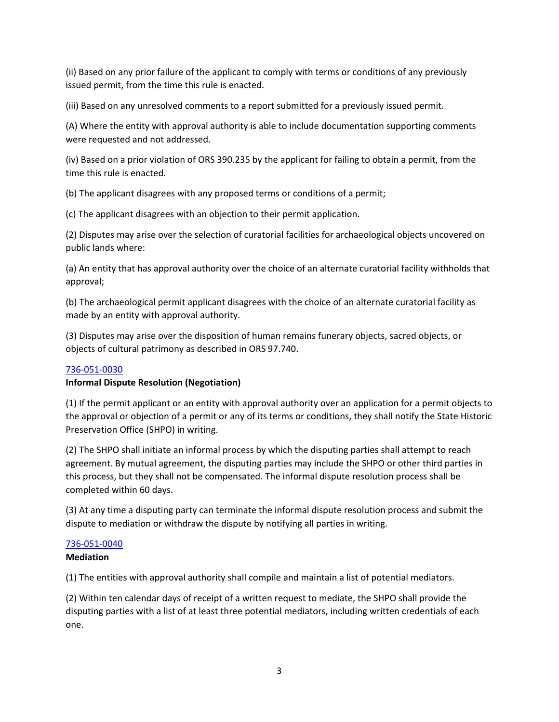(ii) Based on any prior failure of the applicant to comply with terms or conditions of any previously issued permit, from the time this rule is enacted.

(iii) Based on any unresolved comments to a report submitted for a previously issued permit.

(A) Where the entity with approval authority is able to include documentation supporting comments were requested and not addressed.

(iv) Based on a prior violation of ORS 390.235 by the applicant for failing to obtain a permit, from the time this rule is enacted.

(b) The applicant disagrees with any proposed terms or conditions of a permit;

(c) The applicant disagrees with an objection to their permit application.

(2) Disputes may arise over the selection of curatorial facilities for archaeological objects uncovered on public lands where:

(a) An entity that has approval authority over the choice of an alternate curatorial facility withholds that approval;

(b) The archaeological permit applicant disagrees with the choice of an alternate curatorial facility as made by an entity with approval authority.

(3) Disputes may arise over the disposition of human remains funerary objects, sacred objects, or objects of cultural patrimony as described in ORS 97.740.

## 736‐051‐0030

## **Informal Dispute Resolution (Negotiation)**

(1) If the permit applicant or an entity with approval authority over an application for a permit objects to the approval or objection of a permit or any of its terms or conditions, they shall notify the State Historic Preservation Office (SHPO) in writing.

(2) The SHPO shall initiate an informal process by which the disputing parties shall attempt to reach agreement. By mutual agreement, the disputing parties may include the SHPO or other third parties in this process, but they shall not be compensated. The informal dispute resolution process shall be completed within 60 days.

(3) At any time a disputing party can terminate the informal dispute resolution process and submit the dispute to mediation or withdraw the dispute by notifying all parties in writing.

## 736‐051‐0040

## **Mediation**

(1) The entities with approval authority shall compile and maintain a list of potential mediators.

(2) Within ten calendar days of receipt of a written request to mediate, the SHPO shall provide the disputing parties with a list of at least three potential mediators, including written credentials of each one.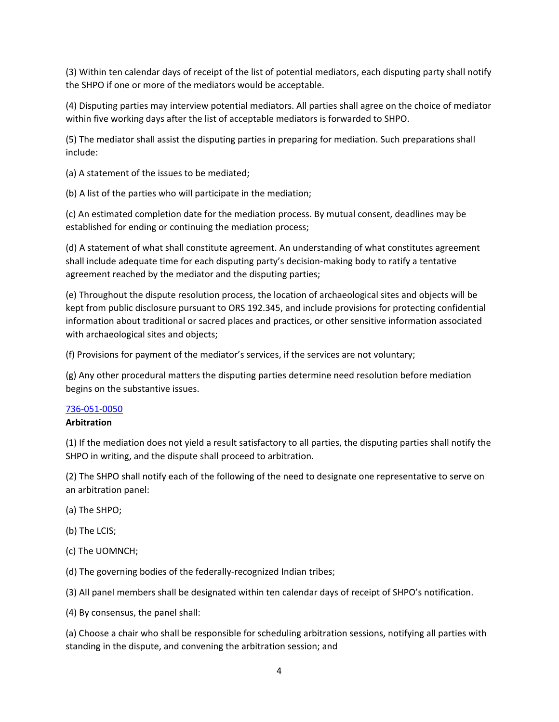(3) Within ten calendar days of receipt of the list of potential mediators, each disputing party shall notify the SHPO if one or more of the mediators would be acceptable.

(4) Disputing parties may interview potential mediators. All parties shall agree on the choice of mediator within five working days after the list of acceptable mediators is forwarded to SHPO.

(5) The mediator shall assist the disputing parties in preparing for mediation. Such preparations shall include:

(a) A statement of the issues to be mediated;

(b) A list of the parties who will participate in the mediation;

(c) An estimated completion date for the mediation process. By mutual consent, deadlines may be established for ending or continuing the mediation process;

(d) A statement of what shall constitute agreement. An understanding of what constitutes agreement shall include adequate time for each disputing party's decision‐making body to ratify a tentative agreement reached by the mediator and the disputing parties;

(e) Throughout the dispute resolution process, the location of archaeological sites and objects will be kept from public disclosure pursuant to ORS 192.345, and include provisions for protecting confidential information about traditional or sacred places and practices, or other sensitive information associated with archaeological sites and objects;

(f) Provisions for payment of the mediator's services, if the services are not voluntary;

(g) Any other procedural matters the disputing parties determine need resolution before mediation begins on the substantive issues.

# 736‐051‐0050

## **Arbitration**

(1) If the mediation does not yield a result satisfactory to all parties, the disputing parties shall notify the SHPO in writing, and the dispute shall proceed to arbitration.

(2) The SHPO shall notify each of the following of the need to designate one representative to serve on an arbitration panel:

- (a) The SHPO;
- (b) The LCIS;
- (c) The UOMNCH;
- (d) The governing bodies of the federally‐recognized Indian tribes;

(3) All panel members shall be designated within ten calendar days of receipt of SHPO's notification.

(4) By consensus, the panel shall:

(a) Choose a chair who shall be responsible for scheduling arbitration sessions, notifying all parties with standing in the dispute, and convening the arbitration session; and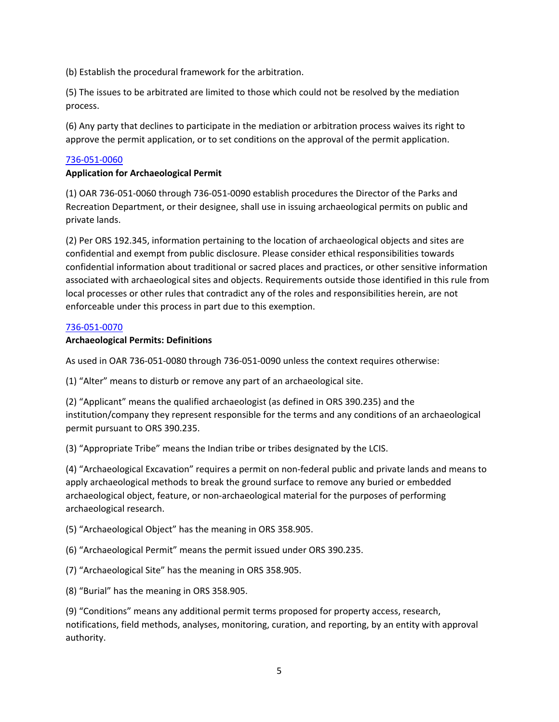(b) Establish the procedural framework for the arbitration.

(5) The issues to be arbitrated are limited to those which could not be resolved by the mediation process.

(6) Any party that declines to participate in the mediation or arbitration process waives its right to approve the permit application, or to set conditions on the approval of the permit application.

# 736‐051‐0060

# **Application for Archaeological Permit**

(1) OAR 736‐051‐0060 through 736‐051‐0090 establish procedures the Director of the Parks and Recreation Department, or their designee, shall use in issuing archaeological permits on public and private lands.

(2) Per ORS 192.345, information pertaining to the location of archaeological objects and sites are confidential and exempt from public disclosure. Please consider ethical responsibilities towards confidential information about traditional or sacred places and practices, or other sensitive information associated with archaeological sites and objects. Requirements outside those identified in this rule from local processes or other rules that contradict any of the roles and responsibilities herein, are not enforceable under this process in part due to this exemption.

## 736‐051‐0070

## **Archaeological Permits: Definitions**

As used in OAR 736‐051‐0080 through 736‐051‐0090 unless the context requires otherwise:

(1) "Alter" means to disturb or remove any part of an archaeological site.

(2) "Applicant" means the qualified archaeologist (as defined in ORS 390.235) and the institution/company they represent responsible for the terms and any conditions of an archaeological permit pursuant to ORS 390.235.

(3) "Appropriate Tribe" means the Indian tribe or tribes designated by the LCIS.

(4) "Archaeological Excavation" requires a permit on non‐federal public and private lands and means to apply archaeological methods to break the ground surface to remove any buried or embedded archaeological object, feature, or non‐archaeological material for the purposes of performing archaeological research.

(5) "Archaeological Object" has the meaning in ORS 358.905.

(6) "Archaeological Permit" means the permit issued under ORS 390.235.

(7) "Archaeological Site" has the meaning in ORS 358.905.

(8) "Burial" has the meaning in ORS 358.905.

(9) "Conditions" means any additional permit terms proposed for property access, research, notifications, field methods, analyses, monitoring, curation, and reporting, by an entity with approval authority.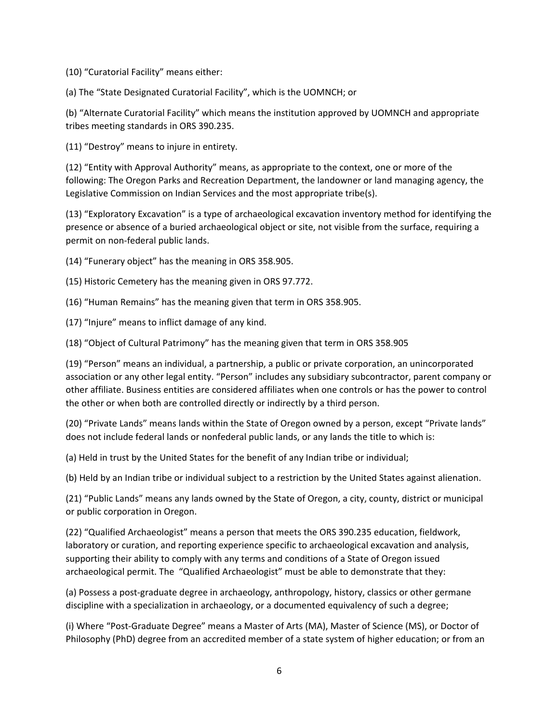(10) "Curatorial Facility" means either:

(a) The "State Designated Curatorial Facility", which is the UOMNCH; or

(b) "Alternate Curatorial Facility" which means the institution approved by UOMNCH and appropriate tribes meeting standards in ORS 390.235.

(11) "Destroy" means to injure in entirety.

(12) "Entity with Approval Authority" means, as appropriate to the context, one or more of the following: The Oregon Parks and Recreation Department, the landowner or land managing agency, the Legislative Commission on Indian Services and the most appropriate tribe(s).

(13) "Exploratory Excavation" is a type of archaeological excavation inventory method for identifying the presence or absence of a buried archaeological object or site, not visible from the surface, requiring a permit on non-federal public lands.

(14) "Funerary object" has the meaning in ORS 358.905.

(15) Historic Cemetery has the meaning given in ORS 97.772.

(16) "Human Remains" has the meaning given that term in ORS 358.905.

(17) "Injure" means to inflict damage of any kind.

(18) "Object of Cultural Patrimony" has the meaning given that term in ORS 358.905

(19) "Person" means an individual, a partnership, a public or private corporation, an unincorporated association or any other legal entity. "Person" includes any subsidiary subcontractor, parent company or other affiliate. Business entities are considered affiliates when one controls or has the power to control the other or when both are controlled directly or indirectly by a third person.

(20) "Private Lands" means lands within the State of Oregon owned by a person, except "Private lands" does not include federal lands or nonfederal public lands, or any lands the title to which is:

(a) Held in trust by the United States for the benefit of any Indian tribe or individual;

(b) Held by an Indian tribe or individual subject to a restriction by the United States against alienation.

(21) "Public Lands" means any lands owned by the State of Oregon, a city, county, district or municipal or public corporation in Oregon.

(22) "Qualified Archaeologist" means a person that meets the ORS 390.235 education, fieldwork, laboratory or curation, and reporting experience specific to archaeological excavation and analysis, supporting their ability to comply with any terms and conditions of a State of Oregon issued archaeological permit. The "Qualified Archaeologist" must be able to demonstrate that they:

(a) Possess a post‐graduate degree in archaeology, anthropology, history, classics or other germane discipline with a specialization in archaeology, or a documented equivalency of such a degree;

(i) Where "Post‐Graduate Degree" means a Master of Arts (MA), Master of Science (MS), or Doctor of Philosophy (PhD) degree from an accredited member of a state system of higher education; or from an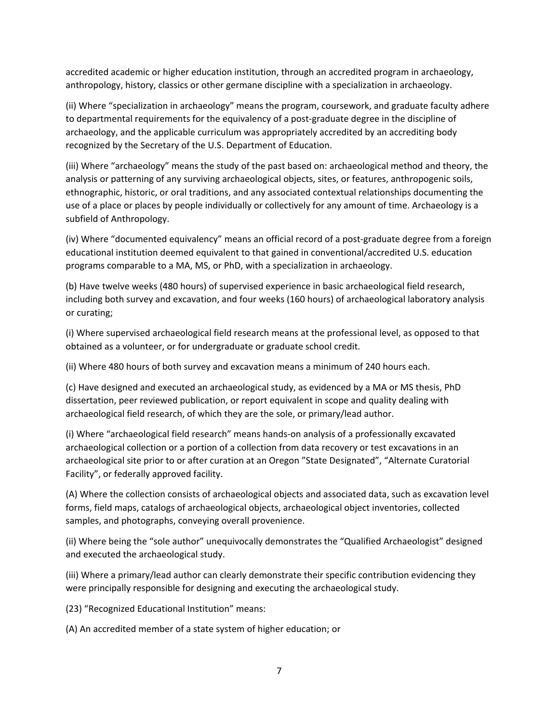accredited academic or higher education institution, through an accredited program in archaeology, anthropology, history, classics or other germane discipline with a specialization in archaeology.

(ii) Where "specialization in archaeology" means the program, coursework, and graduate faculty adhere to departmental requirements for the equivalency of a post-graduate degree in the discipline of archaeology, and the applicable curriculum was appropriately accredited by an accrediting body recognized by the Secretary of the U.S. Department of Education.

(iii) Where "archaeology" means the study of the past based on: archaeological method and theory, the analysis or patterning of any surviving archaeological objects, sites, or features, anthropogenic soils, ethnographic, historic, or oral traditions, and any associated contextual relationships documenting the use of a place or places by people individually or collectively for any amount of time. Archaeology is a subfield of Anthropology.

(iv) Where "documented equivalency" means an official record of a post‐graduate degree from a foreign educational institution deemed equivalent to that gained in conventional/accredited U.S. education programs comparable to a MA, MS, or PhD, with a specialization in archaeology.

(b) Have twelve weeks (480 hours) of supervised experience in basic archaeological field research, including both survey and excavation, and four weeks (160 hours) of archaeological laboratory analysis or curating;

(i) Where supervised archaeological field research means at the professional level, as opposed to that obtained as a volunteer, or for undergraduate or graduate school credit.

(ii) Where 480 hours of both survey and excavation means a minimum of 240 hours each.

(c) Have designed and executed an archaeological study, as evidenced by a MA or MS thesis, PhD dissertation, peer reviewed publication, or report equivalent in scope and quality dealing with archaeological field research, of which they are the sole, or primary/lead author.

(i) Where "archaeological field research" means hands‐on analysis of a professionally excavated archaeological collection or a portion of a collection from data recovery or test excavations in an archaeological site prior to or after curation at an Oregon "State Designated", "Alternate Curatorial Facility", or federally approved facility.

(A) Where the collection consists of archaeological objects and associated data, such as excavation level forms, field maps, catalogs of archaeological objects, archaeological object inventories, collected samples, and photographs, conveying overall provenience.

(ii) Where being the "sole author" unequivocally demonstrates the "Qualified Archaeologist" designed and executed the archaeological study.

(iii) Where a primary/lead author can clearly demonstrate their specific contribution evidencing they were principally responsible for designing and executing the archaeological study.

(23) "Recognized Educational Institution" means:

(A) An accredited member of a state system of higher education; or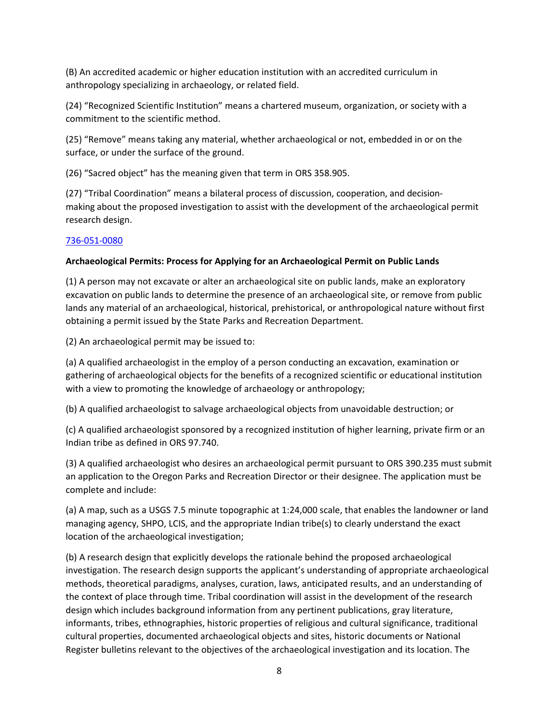(B) An accredited academic or higher education institution with an accredited curriculum in anthropology specializing in archaeology, or related field.

(24) "Recognized Scientific Institution" means a chartered museum, organization, or society with a commitment to the scientific method.

(25) "Remove" means taking any material, whether archaeological or not, embedded in or on the surface, or under the surface of the ground.

(26) "Sacred object" has the meaning given that term in ORS 358.905.

(27) "Tribal Coordination" means a bilateral process of discussion, cooperation, and decision‐ making about the proposed investigation to assist with the development of the archaeological permit research design.

# 736‐051‐0080

# **Archaeological Permits: Process for Applying for an Archaeological Permit on Public Lands**

(1) A person may not excavate or alter an archaeological site on public lands, make an exploratory excavation on public lands to determine the presence of an archaeological site, or remove from public lands any material of an archaeological, historical, prehistorical, or anthropological nature without first obtaining a permit issued by the State Parks and Recreation Department.

(2) An archaeological permit may be issued to:

(a) A qualified archaeologist in the employ of a person conducting an excavation, examination or gathering of archaeological objects for the benefits of a recognized scientific or educational institution with a view to promoting the knowledge of archaeology or anthropology;

(b) A qualified archaeologist to salvage archaeological objects from unavoidable destruction; or

(c) A qualified archaeologist sponsored by a recognized institution of higher learning, private firm or an Indian tribe as defined in ORS 97.740.

(3) A qualified archaeologist who desires an archaeological permit pursuant to ORS 390.235 must submit an application to the Oregon Parks and Recreation Director or their designee. The application must be complete and include:

(a) A map, such as a USGS 7.5 minute topographic at 1:24,000 scale, that enables the landowner or land managing agency, SHPO, LCIS, and the appropriate Indian tribe(s) to clearly understand the exact location of the archaeological investigation;

(b) A research design that explicitly develops the rationale behind the proposed archaeological investigation. The research design supports the applicant's understanding of appropriate archaeological methods, theoretical paradigms, analyses, curation, laws, anticipated results, and an understanding of the context of place through time. Tribal coordination will assist in the development of the research design which includes background information from any pertinent publications, gray literature, informants, tribes, ethnographies, historic properties of religious and cultural significance, traditional cultural properties, documented archaeological objects and sites, historic documents or National Register bulletins relevant to the objectives of the archaeological investigation and its location. The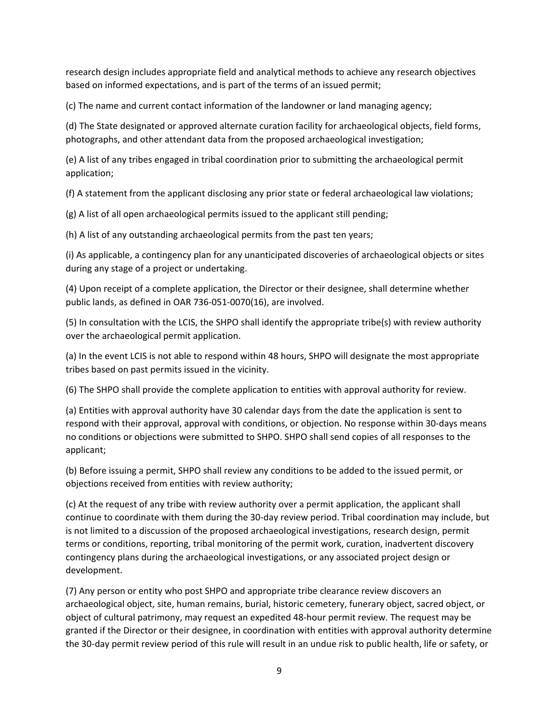research design includes appropriate field and analytical methods to achieve any research objectives based on informed expectations, and is part of the terms of an issued permit;

(c) The name and current contact information of the landowner or land managing agency;

(d) The State designated or approved alternate curation facility for archaeological objects, field forms, photographs, and other attendant data from the proposed archaeological investigation;

(e) A list of any tribes engaged in tribal coordination prior to submitting the archaeological permit application;

(f) A statement from the applicant disclosing any prior state or federal archaeological law violations;

(g) A list of all open archaeological permits issued to the applicant still pending;

(h) A list of any outstanding archaeological permits from the past ten years;

(i) As applicable, a contingency plan for any unanticipated discoveries of archaeological objects or sites during any stage of a project or undertaking.

(4) Upon receipt of a complete application, the Director or their designee, shall determine whether public lands, as defined in OAR 736‐051‐0070(16), are involved.

(5) In consultation with the LCIS, the SHPO shall identify the appropriate tribe(s) with review authority over the archaeological permit application.

(a) In the event LCIS is not able to respond within 48 hours, SHPO will designate the most appropriate tribes based on past permits issued in the vicinity.

(6) The SHPO shall provide the complete application to entities with approval authority for review.

(a) Entities with approval authority have 30 calendar days from the date the application is sent to respond with their approval, approval with conditions, or objection. No response within 30‐days means no conditions or objections were submitted to SHPO. SHPO shall send copies of all responses to the applicant;

(b) Before issuing a permit, SHPO shall review any conditions to be added to the issued permit, or objections received from entities with review authority;

(c) At the request of any tribe with review authority over a permit application, the applicant shall continue to coordinate with them during the 30‐day review period. Tribal coordination may include, but is not limited to a discussion of the proposed archaeological investigations, research design, permit terms or conditions, reporting, tribal monitoring of the permit work, curation, inadvertent discovery contingency plans during the archaeological investigations, or any associated project design or development.

(7) Any person or entity who post SHPO and appropriate tribe clearance review discovers an archaeological object, site, human remains, burial, historic cemetery, funerary object, sacred object, or object of cultural patrimony, may request an expedited 48‐hour permit review. The request may be granted if the Director or their designee, in coordination with entities with approval authority determine the 30‐day permit review period of this rule will result in an undue risk to public health, life or safety, or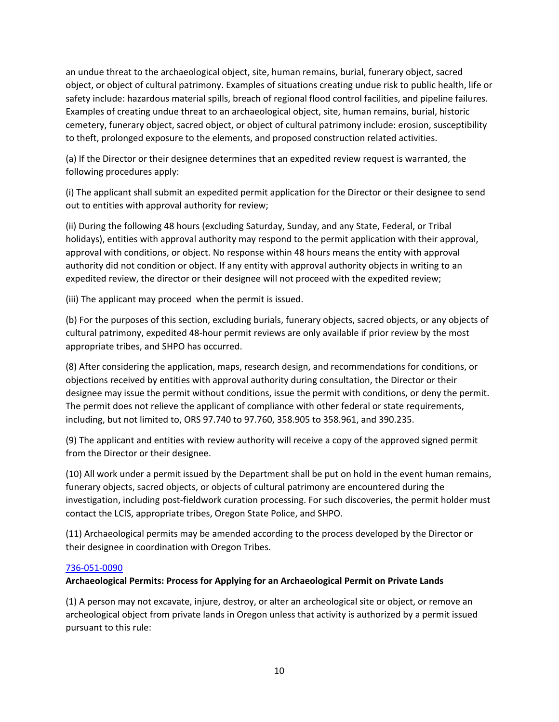an undue threat to the archaeological object, site, human remains, burial, funerary object, sacred object, or object of cultural patrimony. Examples of situations creating undue risk to public health, life or safety include: hazardous material spills, breach of regional flood control facilities, and pipeline failures. Examples of creating undue threat to an archaeological object, site, human remains, burial, historic cemetery, funerary object, sacred object, or object of cultural patrimony include: erosion, susceptibility to theft, prolonged exposure to the elements, and proposed construction related activities.

(a) If the Director or their designee determines that an expedited review request is warranted, the following procedures apply:

(i) The applicant shall submit an expedited permit application for the Director or their designee to send out to entities with approval authority for review;

(ii) During the following 48 hours (excluding Saturday, Sunday, and any State, Federal, or Tribal holidays), entities with approval authority may respond to the permit application with their approval, approval with conditions, or object. No response within 48 hours means the entity with approval authority did not condition or object. If any entity with approval authority objects in writing to an expedited review, the director or their designee will not proceed with the expedited review;

(iii) The applicant may proceed when the permit is issued.

(b) For the purposes of this section, excluding burials, funerary objects, sacred objects, or any objects of cultural patrimony, expedited 48‐hour permit reviews are only available if prior review by the most appropriate tribes, and SHPO has occurred.

(8) After considering the application, maps, research design, and recommendations for conditions, or objections received by entities with approval authority during consultation, the Director or their designee may issue the permit without conditions, issue the permit with conditions, or deny the permit. The permit does not relieve the applicant of compliance with other federal or state requirements, including, but not limited to, ORS 97.740 to 97.760, 358.905 to 358.961, and 390.235.

(9) The applicant and entities with review authority will receive a copy of the approved signed permit from the Director or their designee.

(10) All work under a permit issued by the Department shall be put on hold in the event human remains, funerary objects, sacred objects, or objects of cultural patrimony are encountered during the investigation, including post-fieldwork curation processing. For such discoveries, the permit holder must contact the LCIS, appropriate tribes, Oregon State Police, and SHPO.

(11) Archaeological permits may be amended according to the process developed by the Director or their designee in coordination with Oregon Tribes.

## 736‐051‐0090

# **Archaeological Permits: Process for Applying for an Archaeological Permit on Private Lands**

(1) A person may not excavate, injure, destroy, or alter an archeological site or object, or remove an archeological object from private lands in Oregon unless that activity is authorized by a permit issued pursuant to this rule: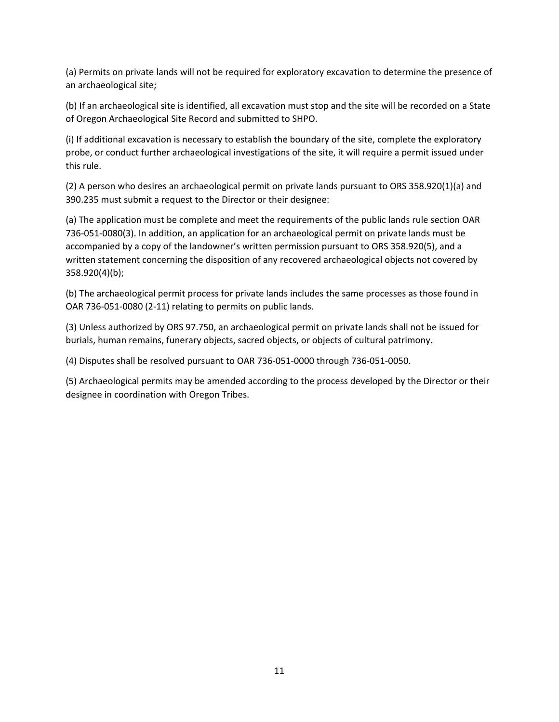(a) Permits on private lands will not be required for exploratory excavation to determine the presence of an archaeological site;

(b) If an archaeological site is identified, all excavation must stop and the site will be recorded on a State of Oregon Archaeological Site Record and submitted to SHPO.

(i) If additional excavation is necessary to establish the boundary of the site, complete the exploratory probe, or conduct further archaeological investigations of the site, it will require a permit issued under this rule.

(2) A person who desires an archaeological permit on private lands pursuant to ORS 358.920(1)(a) and 390.235 must submit a request to the Director or their designee:

(a) The application must be complete and meet the requirements of the public lands rule section OAR 736‐051‐0080(3). In addition, an application for an archaeological permit on private lands must be accompanied by a copy of the landowner's written permission pursuant to ORS 358.920(5), and a written statement concerning the disposition of any recovered archaeological objects not covered by 358.920(4)(b);

(b) The archaeological permit process for private lands includes the same processes as those found in OAR 736‐051‐0080 (2‐11) relating to permits on public lands.

(3) Unless authorized by ORS 97.750, an archaeological permit on private lands shall not be issued for burials, human remains, funerary objects, sacred objects, or objects of cultural patrimony.

(4) Disputes shall be resolved pursuant to OAR 736‐051‐0000 through 736‐051‐0050.

(5) Archaeological permits may be amended according to the process developed by the Director or their designee in coordination with Oregon Tribes.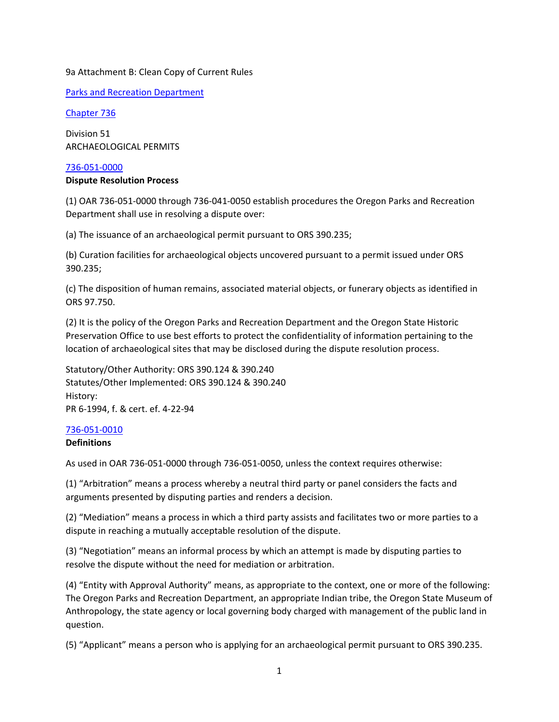## 9a Attachment B: Clean Copy of Current Rules

Parks and Recreation Department

Chapter 736

Division 51 ARCHAEOLOGICAL PERMITS

## 736‐051‐0000

## **Dispute Resolution Process**

(1) OAR 736‐051‐0000 through 736‐041‐0050 establish procedures the Oregon Parks and Recreation Department shall use in resolving a dispute over:

(a) The issuance of an archaeological permit pursuant to ORS 390.235;

(b) Curation facilities for archaeological objects uncovered pursuant to a permit issued under ORS 390.235;

(c) The disposition of human remains, associated material objects, or funerary objects as identified in ORS 97.750.

(2) It is the policy of the Oregon Parks and Recreation Department and the Oregon State Historic Preservation Office to use best efforts to protect the confidentiality of information pertaining to the location of archaeological sites that may be disclosed during the dispute resolution process.

Statutory/Other Authority: ORS 390.124 & 390.240 Statutes/Other Implemented: ORS 390.124 & 390.240 History: PR 6‐1994, f. & cert. ef. 4‐22‐94

## 736‐051‐0010

## **Definitions**

As used in OAR 736‐051‐0000 through 736‐051‐0050, unless the context requires otherwise:

(1) "Arbitration" means a process whereby a neutral third party or panel considers the facts and arguments presented by disputing parties and renders a decision.

(2) "Mediation" means a process in which a third party assists and facilitates two or more parties to a dispute in reaching a mutually acceptable resolution of the dispute.

(3) "Negotiation" means an informal process by which an attempt is made by disputing parties to resolve the dispute without the need for mediation or arbitration.

(4) "Entity with Approval Authority" means, as appropriate to the context, one or more of the following: The Oregon Parks and Recreation Department, an appropriate Indian tribe, the Oregon State Museum of Anthropology, the state agency or local governing body charged with management of the public land in question.

(5) "Applicant" means a person who is applying for an archaeological permit pursuant to ORS 390.235.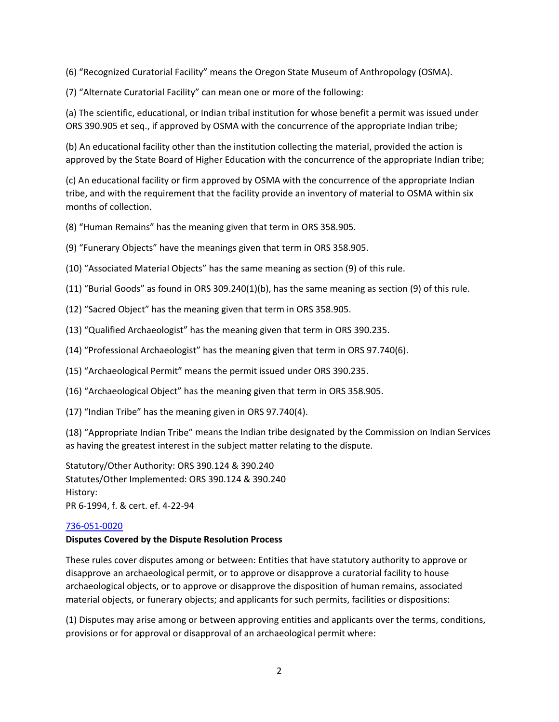(6) "Recognized Curatorial Facility" means the Oregon State Museum of Anthropology (OSMA).

(7) "Alternate Curatorial Facility" can mean one or more of the following:

(a) The scientific, educational, or Indian tribal institution for whose benefit a permit was issued under ORS 390.905 et seq., if approved by OSMA with the concurrence of the appropriate Indian tribe;

(b) An educational facility other than the institution collecting the material, provided the action is approved by the State Board of Higher Education with the concurrence of the appropriate Indian tribe;

(c) An educational facility or firm approved by OSMA with the concurrence of the appropriate Indian tribe, and with the requirement that the facility provide an inventory of material to OSMA within six months of collection.

(8) "Human Remains" has the meaning given that term in ORS 358.905.

(9) "Funerary Objects" have the meanings given that term in ORS 358.905.

(10) "Associated Material Objects" has the same meaning as section (9) of this rule.

- (11) "Burial Goods" as found in ORS 309.240(1)(b), has the same meaning as section (9) of this rule.
- (12) "Sacred Object" has the meaning given that term in ORS 358.905.
- (13) "Qualified Archaeologist" has the meaning given that term in ORS 390.235.
- (14) "Professional Archaeologist" has the meaning given that term in ORS 97.740(6).
- (15) "Archaeological Permit" means the permit issued under ORS 390.235.
- (16) "Archaeological Object" has the meaning given that term in ORS 358.905.
- (17) "Indian Tribe" has the meaning given in ORS 97.740(4).

(18) "Appropriate Indian Tribe" means the Indian tribe designated by the Commission on Indian Services as having the greatest interest in the subject matter relating to the dispute.

Statutory/Other Authority: ORS 390.124 & 390.240 Statutes/Other Implemented: ORS 390.124 & 390.240 History: PR 6‐1994, f. & cert. ef. 4‐22‐94

## 736‐051‐0020

## **Disputes Covered by the Dispute Resolution Process**

These rules cover disputes among or between: Entities that have statutory authority to approve or disapprove an archaeological permit, or to approve or disapprove a curatorial facility to house archaeological objects, or to approve or disapprove the disposition of human remains, associated material objects, or funerary objects; and applicants for such permits, facilities or dispositions:

(1) Disputes may arise among or between approving entities and applicants over the terms, conditions, provisions or for approval or disapproval of an archaeological permit where: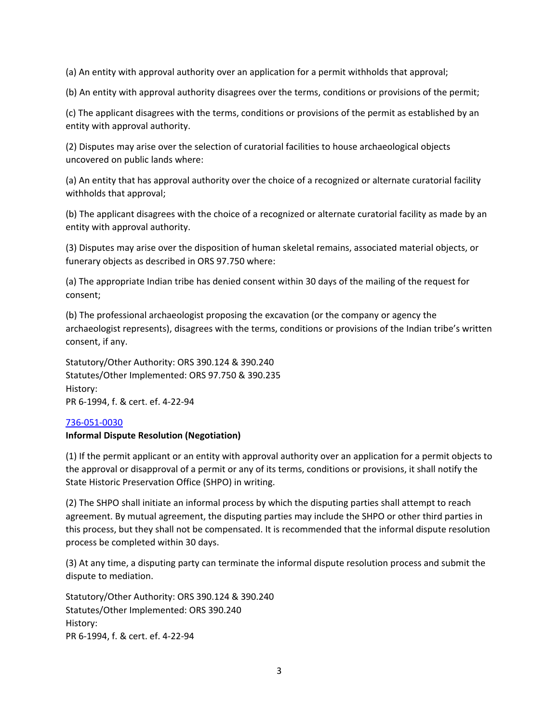(a) An entity with approval authority over an application for a permit withholds that approval;

(b) An entity with approval authority disagrees over the terms, conditions or provisions of the permit;

(c) The applicant disagrees with the terms, conditions or provisions of the permit as established by an entity with approval authority.

(2) Disputes may arise over the selection of curatorial facilities to house archaeological objects uncovered on public lands where:

(a) An entity that has approval authority over the choice of a recognized or alternate curatorial facility withholds that approval;

(b) The applicant disagrees with the choice of a recognized or alternate curatorial facility as made by an entity with approval authority.

(3) Disputes may arise over the disposition of human skeletal remains, associated material objects, or funerary objects as described in ORS 97.750 where:

(a) The appropriate Indian tribe has denied consent within 30 days of the mailing of the request for consent;

(b) The professional archaeologist proposing the excavation (or the company or agency the archaeologist represents), disagrees with the terms, conditions or provisions of the Indian tribe's written consent, if any.

Statutory/Other Authority: ORS 390.124 & 390.240 Statutes/Other Implemented: ORS 97.750 & 390.235 History: PR 6‐1994, f. & cert. ef. 4‐22‐94

## 736‐051‐0030

## **Informal Dispute Resolution (Negotiation)**

(1) If the permit applicant or an entity with approval authority over an application for a permit objects to the approval or disapproval of a permit or any of its terms, conditions or provisions, it shall notify the State Historic Preservation Office (SHPO) in writing.

(2) The SHPO shall initiate an informal process by which the disputing parties shall attempt to reach agreement. By mutual agreement, the disputing parties may include the SHPO or other third parties in this process, but they shall not be compensated. It is recommended that the informal dispute resolution process be completed within 30 days.

(3) At any time, a disputing party can terminate the informal dispute resolution process and submit the dispute to mediation.

Statutory/Other Authority: ORS 390.124 & 390.240 Statutes/Other Implemented: ORS 390.240 History: PR 6‐1994, f. & cert. ef. 4‐22‐94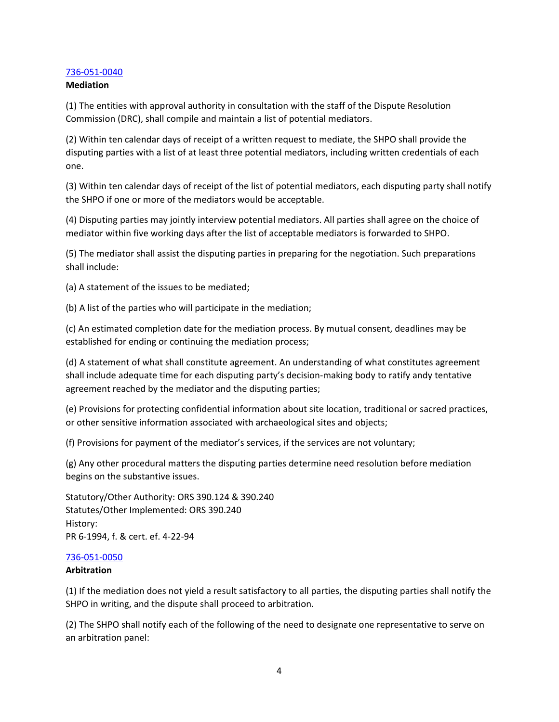## 736‐051‐0040

#### **Mediation**

(1) The entities with approval authority in consultation with the staff of the Dispute Resolution Commission (DRC), shall compile and maintain a list of potential mediators.

(2) Within ten calendar days of receipt of a written request to mediate, the SHPO shall provide the disputing parties with a list of at least three potential mediators, including written credentials of each one.

(3) Within ten calendar days of receipt of the list of potential mediators, each disputing party shall notify the SHPO if one or more of the mediators would be acceptable.

(4) Disputing parties may jointly interview potential mediators. All parties shall agree on the choice of mediator within five working days after the list of acceptable mediators is forwarded to SHPO.

(5) The mediator shall assist the disputing parties in preparing for the negotiation. Such preparations shall include:

(a) A statement of the issues to be mediated;

(b) A list of the parties who will participate in the mediation;

(c) An estimated completion date for the mediation process. By mutual consent, deadlines may be established for ending or continuing the mediation process;

(d) A statement of what shall constitute agreement. An understanding of what constitutes agreement shall include adequate time for each disputing party's decision-making body to ratify andy tentative agreement reached by the mediator and the disputing parties;

(e) Provisions for protecting confidential information about site location, traditional or sacred practices, or other sensitive information associated with archaeological sites and objects;

(f) Provisions for payment of the mediator's services, if the services are not voluntary;

(g) Any other procedural matters the disputing parties determine need resolution before mediation begins on the substantive issues.

Statutory/Other Authority: ORS 390.124 & 390.240 Statutes/Other Implemented: ORS 390.240 History: PR 6‐1994, f. & cert. ef. 4‐22‐94

#### 736‐051‐0050

#### **Arbitration**

(1) If the mediation does not yield a result satisfactory to all parties, the disputing parties shall notify the SHPO in writing, and the dispute shall proceed to arbitration.

(2) The SHPO shall notify each of the following of the need to designate one representative to serve on an arbitration panel: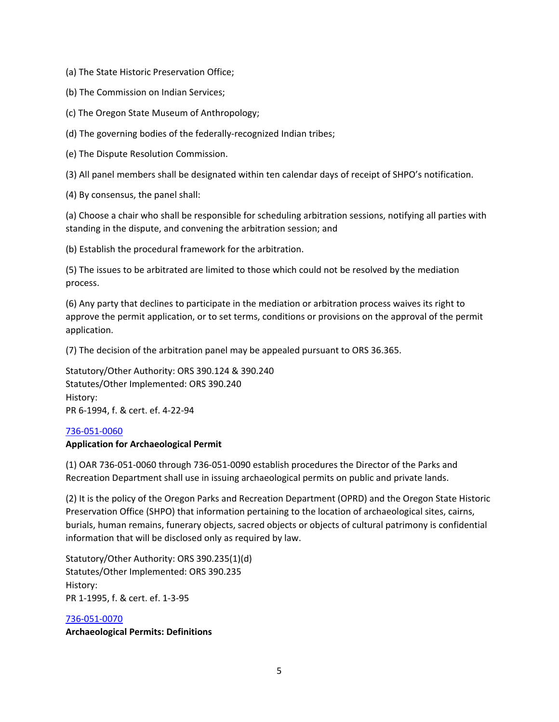(a) The State Historic Preservation Office;

(b) The Commission on Indian Services;

(c) The Oregon State Museum of Anthropology;

(d) The governing bodies of the federally‐recognized Indian tribes;

(e) The Dispute Resolution Commission.

(3) All panel members shall be designated within ten calendar days of receipt of SHPO's notification.

(4) By consensus, the panel shall:

(a) Choose a chair who shall be responsible for scheduling arbitration sessions, notifying all parties with standing in the dispute, and convening the arbitration session; and

(b) Establish the procedural framework for the arbitration.

(5) The issues to be arbitrated are limited to those which could not be resolved by the mediation process.

(6) Any party that declines to participate in the mediation or arbitration process waives its right to approve the permit application, or to set terms, conditions or provisions on the approval of the permit application.

(7) The decision of the arbitration panel may be appealed pursuant to ORS 36.365.

Statutory/Other Authority: ORS 390.124 & 390.240 Statutes/Other Implemented: ORS 390.240 History: PR 6‐1994, f. & cert. ef. 4‐22‐94

#### 736‐051‐0060

## **Application for Archaeological Permit**

(1) OAR 736‐051‐0060 through 736‐051‐0090 establish procedures the Director of the Parks and Recreation Department shall use in issuing archaeological permits on public and private lands.

(2) It is the policy of the Oregon Parks and Recreation Department (OPRD) and the Oregon State Historic Preservation Office (SHPO) that information pertaining to the location of archaeological sites, cairns, burials, human remains, funerary objects, sacred objects or objects of cultural patrimony is confidential information that will be disclosed only as required by law.

Statutory/Other Authority: ORS 390.235(1)(d) Statutes/Other Implemented: ORS 390.235 History: PR 1‐1995, f. & cert. ef. 1‐3‐95

## 736‐051‐0070

**Archaeological Permits: Definitions**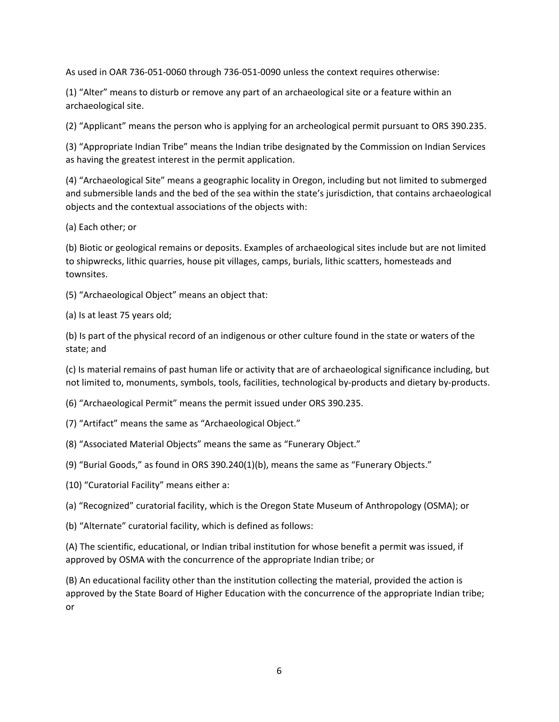As used in OAR 736‐051‐0060 through 736‐051‐0090 unless the context requires otherwise:

(1) "Alter" means to disturb or remove any part of an archaeological site or a feature within an archaeological site.

(2) "Applicant" means the person who is applying for an archeological permit pursuant to ORS 390.235.

(3) "Appropriate Indian Tribe" means the Indian tribe designated by the Commission on Indian Services as having the greatest interest in the permit application.

(4) "Archaeological Site" means a geographic locality in Oregon, including but not limited to submerged and submersible lands and the bed of the sea within the state's jurisdiction, that contains archaeological objects and the contextual associations of the objects with:

(a) Each other; or

(b) Biotic or geological remains or deposits. Examples of archaeological sites include but are not limited to shipwrecks, lithic quarries, house pit villages, camps, burials, lithic scatters, homesteads and townsites.

(5) "Archaeological Object" means an object that:

(a) Is at least 75 years old;

(b) Is part of the physical record of an indigenous or other culture found in the state or waters of the state; and

(c) Is material remains of past human life or activity that are of archaeological significance including, but not limited to, monuments, symbols, tools, facilities, technological by‐products and dietary by‐products.

(6) "Archaeological Permit" means the permit issued under ORS 390.235.

- (7) "Artifact" means the same as "Archaeological Object."
- (8) "Associated Material Objects" means the same as "Funerary Object."
- (9) "Burial Goods," as found in ORS 390.240(1)(b), means the same as "Funerary Objects."
- (10) "Curatorial Facility" means either a:
- (a) "Recognized" curatorial facility, which is the Oregon State Museum of Anthropology (OSMA); or
- (b) "Alternate" curatorial facility, which is defined as follows:

(A) The scientific, educational, or Indian tribal institution for whose benefit a permit was issued, if approved by OSMA with the concurrence of the appropriate Indian tribe; or

(B) An educational facility other than the institution collecting the material, provided the action is approved by the State Board of Higher Education with the concurrence of the appropriate Indian tribe; or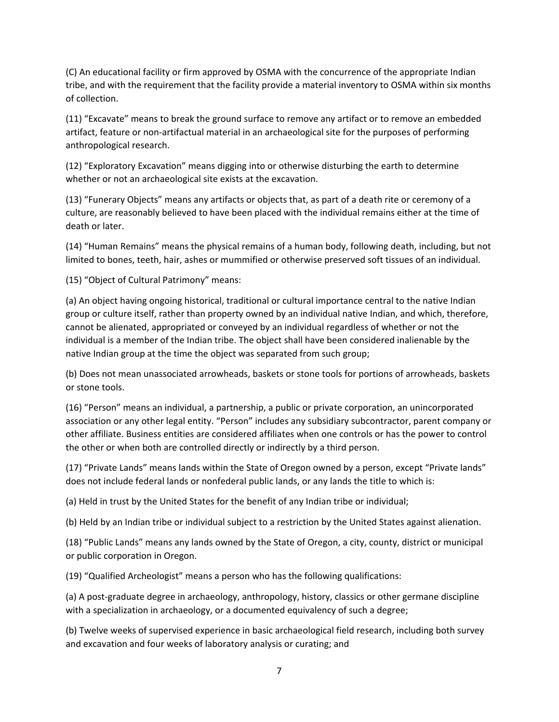(C) An educational facility or firm approved by OSMA with the concurrence of the appropriate Indian tribe, and with the requirement that the facility provide a material inventory to OSMA within six months of collection.

(11) "Excavate" means to break the ground surface to remove any artifact or to remove an embedded artifact, feature or non‐artifactual material in an archaeological site for the purposes of performing anthropological research.

(12) "Exploratory Excavation" means digging into or otherwise disturbing the earth to determine whether or not an archaeological site exists at the excavation.

(13) "Funerary Objects" means any artifacts or objects that, as part of a death rite or ceremony of a culture, are reasonably believed to have been placed with the individual remains either at the time of death or later.

(14) "Human Remains" means the physical remains of a human body, following death, including, but not limited to bones, teeth, hair, ashes or mummified or otherwise preserved soft tissues of an individual.

(15) "Object of Cultural Patrimony" means:

(a) An object having ongoing historical, traditional or cultural importance central to the native Indian group or culture itself, rather than property owned by an individual native Indian, and which, therefore, cannot be alienated, appropriated or conveyed by an individual regardless of whether or not the individual is a member of the Indian tribe. The object shall have been considered inalienable by the native Indian group at the time the object was separated from such group;

(b) Does not mean unassociated arrowheads, baskets or stone tools for portions of arrowheads, baskets or stone tools.

(16) "Person" means an individual, a partnership, a public or private corporation, an unincorporated association or any other legal entity. "Person" includes any subsidiary subcontractor, parent company or other affiliate. Business entities are considered affiliates when one controls or has the power to control the other or when both are controlled directly or indirectly by a third person.

(17) "Private Lands" means lands within the State of Oregon owned by a person, except "Private lands" does not include federal lands or nonfederal public lands, or any lands the title to which is:

(a) Held in trust by the United States for the benefit of any Indian tribe or individual;

(b) Held by an Indian tribe or individual subject to a restriction by the United States against alienation.

(18) "Public Lands" means any lands owned by the State of Oregon, a city, county, district or municipal or public corporation in Oregon.

(19) "Qualified Archeologist" means a person who has the following qualifications:

(a) A post‐graduate degree in archaeology, anthropology, history, classics or other germane discipline with a specialization in archaeology, or a documented equivalency of such a degree;

(b) Twelve weeks of supervised experience in basic archaeological field research, including both survey and excavation and four weeks of laboratory analysis or curating; and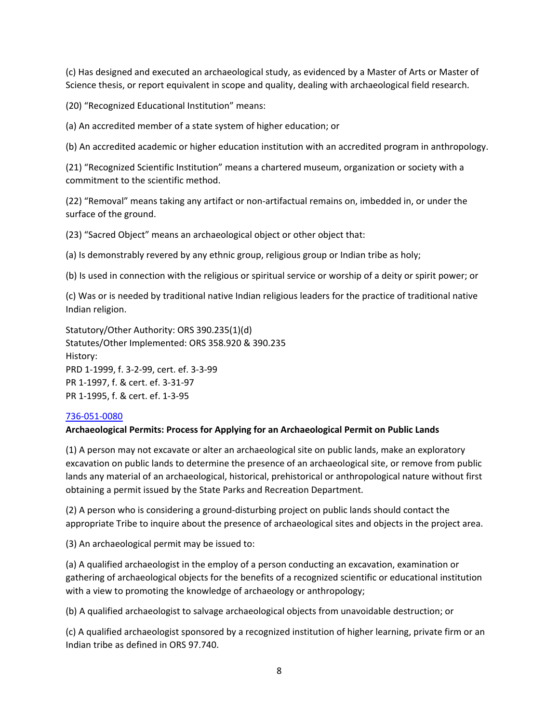(c) Has designed and executed an archaeological study, as evidenced by a Master of Arts or Master of Science thesis, or report equivalent in scope and quality, dealing with archaeological field research.

(20) "Recognized Educational Institution" means:

(a) An accredited member of a state system of higher education; or

(b) An accredited academic or higher education institution with an accredited program in anthropology.

(21) "Recognized Scientific Institution" means a chartered museum, organization or society with a commitment to the scientific method.

(22) "Removal" means taking any artifact or non‐artifactual remains on, imbedded in, or under the surface of the ground.

(23) "Sacred Object" means an archaeological object or other object that:

(a) Is demonstrably revered by any ethnic group, religious group or Indian tribe as holy;

(b) Is used in connection with the religious or spiritual service or worship of a deity or spirit power; or

(c) Was or is needed by traditional native Indian religious leaders for the practice of traditional native Indian religion.

Statutory/Other Authority: ORS 390.235(1)(d) Statutes/Other Implemented: ORS 358.920 & 390.235 History: PRD 1‐1999, f. 3‐2‐99, cert. ef. 3‐3‐99 PR 1‐1997, f. & cert. ef. 3‐31‐97 PR 1‐1995, f. & cert. ef. 1‐3‐95

## 736‐051‐0080

## **Archaeological Permits: Process for Applying for an Archaeological Permit on Public Lands**

(1) A person may not excavate or alter an archaeological site on public lands, make an exploratory excavation on public lands to determine the presence of an archaeological site, or remove from public lands any material of an archaeological, historical, prehistorical or anthropological nature without first obtaining a permit issued by the State Parks and Recreation Department.

(2) A person who is considering a ground‐disturbing project on public lands should contact the appropriate Tribe to inquire about the presence of archaeological sites and objects in the project area.

(3) An archaeological permit may be issued to:

(a) A qualified archaeologist in the employ of a person conducting an excavation, examination or gathering of archaeological objects for the benefits of a recognized scientific or educational institution with a view to promoting the knowledge of archaeology or anthropology;

(b) A qualified archaeologist to salvage archaeological objects from unavoidable destruction; or

(c) A qualified archaeologist sponsored by a recognized institution of higher learning, private firm or an Indian tribe as defined in ORS 97.740.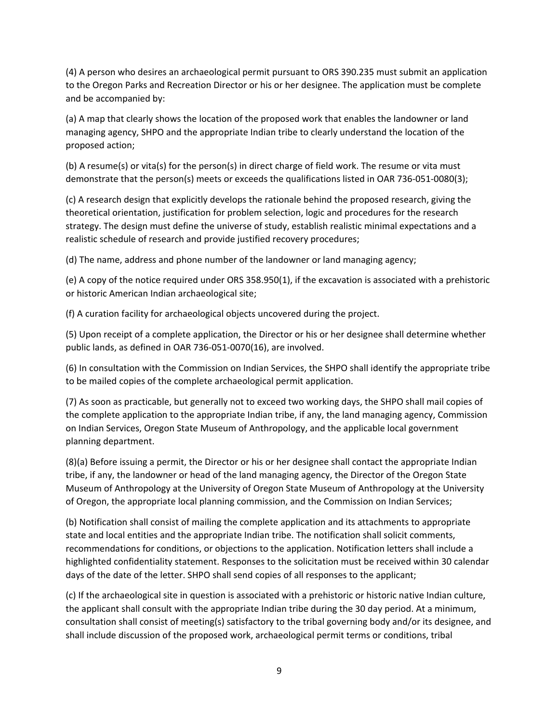(4) A person who desires an archaeological permit pursuant to ORS 390.235 must submit an application to the Oregon Parks and Recreation Director or his or her designee. The application must be complete and be accompanied by:

(a) A map that clearly shows the location of the proposed work that enables the landowner or land managing agency, SHPO and the appropriate Indian tribe to clearly understand the location of the proposed action;

(b) A resume(s) or vita(s) for the person(s) in direct charge of field work. The resume or vita must demonstrate that the person(s) meets or exceeds the qualifications listed in OAR 736‐051‐0080(3);

(c) A research design that explicitly develops the rationale behind the proposed research, giving the theoretical orientation, justification for problem selection, logic and procedures for the research strategy. The design must define the universe of study, establish realistic minimal expectations and a realistic schedule of research and provide justified recovery procedures;

(d) The name, address and phone number of the landowner or land managing agency;

(e) A copy of the notice required under ORS 358.950(1), if the excavation is associated with a prehistoric or historic American Indian archaeological site;

(f) A curation facility for archaeological objects uncovered during the project.

(5) Upon receipt of a complete application, the Director or his or her designee shall determine whether public lands, as defined in OAR 736‐051‐0070(16), are involved.

(6) In consultation with the Commission on Indian Services, the SHPO shall identify the appropriate tribe to be mailed copies of the complete archaeological permit application.

(7) As soon as practicable, but generally not to exceed two working days, the SHPO shall mail copies of the complete application to the appropriate Indian tribe, if any, the land managing agency, Commission on Indian Services, Oregon State Museum of Anthropology, and the applicable local government planning department.

(8)(a) Before issuing a permit, the Director or his or her designee shall contact the appropriate Indian tribe, if any, the landowner or head of the land managing agency, the Director of the Oregon State Museum of Anthropology at the University of Oregon State Museum of Anthropology at the University of Oregon, the appropriate local planning commission, and the Commission on Indian Services;

(b) Notification shall consist of mailing the complete application and its attachments to appropriate state and local entities and the appropriate Indian tribe. The notification shall solicit comments, recommendations for conditions, or objections to the application. Notification letters shall include a highlighted confidentiality statement. Responses to the solicitation must be received within 30 calendar days of the date of the letter. SHPO shall send copies of all responses to the applicant;

(c) If the archaeological site in question is associated with a prehistoric or historic native Indian culture, the applicant shall consult with the appropriate Indian tribe during the 30 day period. At a minimum, consultation shall consist of meeting(s) satisfactory to the tribal governing body and/or its designee, and shall include discussion of the proposed work, archaeological permit terms or conditions, tribal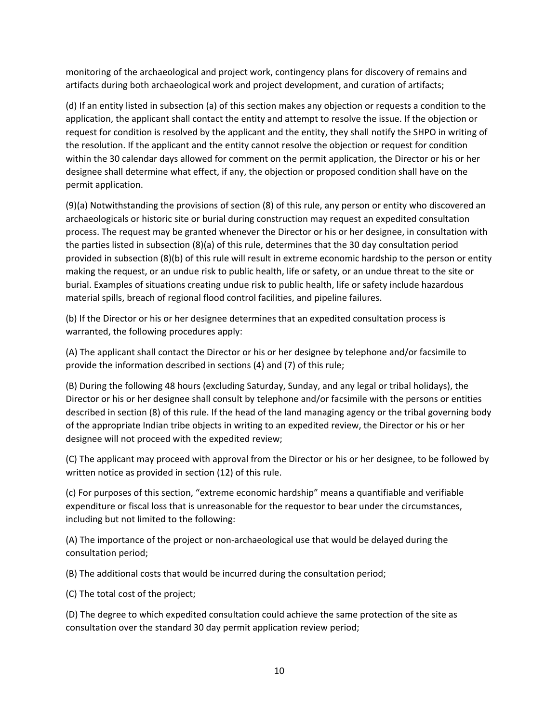monitoring of the archaeological and project work, contingency plans for discovery of remains and artifacts during both archaeological work and project development, and curation of artifacts;

(d) If an entity listed in subsection (a) of this section makes any objection or requests a condition to the application, the applicant shall contact the entity and attempt to resolve the issue. If the objection or request for condition is resolved by the applicant and the entity, they shall notify the SHPO in writing of the resolution. If the applicant and the entity cannot resolve the objection or request for condition within the 30 calendar days allowed for comment on the permit application, the Director or his or her designee shall determine what effect, if any, the objection or proposed condition shall have on the permit application.

(9)(a) Notwithstanding the provisions of section (8) of this rule, any person or entity who discovered an archaeologicals or historic site or burial during construction may request an expedited consultation process. The request may be granted whenever the Director or his or her designee, in consultation with the parties listed in subsection (8)(a) of this rule, determines that the 30 day consultation period provided in subsection (8)(b) of this rule will result in extreme economic hardship to the person or entity making the request, or an undue risk to public health, life or safety, or an undue threat to the site or burial. Examples of situations creating undue risk to public health, life or safety include hazardous material spills, breach of regional flood control facilities, and pipeline failures.

(b) If the Director or his or her designee determines that an expedited consultation process is warranted, the following procedures apply:

(A) The applicant shall contact the Director or his or her designee by telephone and/or facsimile to provide the information described in sections (4) and (7) of this rule;

(B) During the following 48 hours (excluding Saturday, Sunday, and any legal or tribal holidays), the Director or his or her designee shall consult by telephone and/or facsimile with the persons or entities described in section (8) of this rule. If the head of the land managing agency or the tribal governing body of the appropriate Indian tribe objects in writing to an expedited review, the Director or his or her designee will not proceed with the expedited review;

(C) The applicant may proceed with approval from the Director or his or her designee, to be followed by written notice as provided in section (12) of this rule.

(c) For purposes of this section, "extreme economic hardship" means a quantifiable and verifiable expenditure or fiscal loss that is unreasonable for the requestor to bear under the circumstances, including but not limited to the following:

(A) The importance of the project or non‐archaeological use that would be delayed during the consultation period;

(B) The additional costs that would be incurred during the consultation period;

(C) The total cost of the project;

(D) The degree to which expedited consultation could achieve the same protection of the site as consultation over the standard 30 day permit application review period;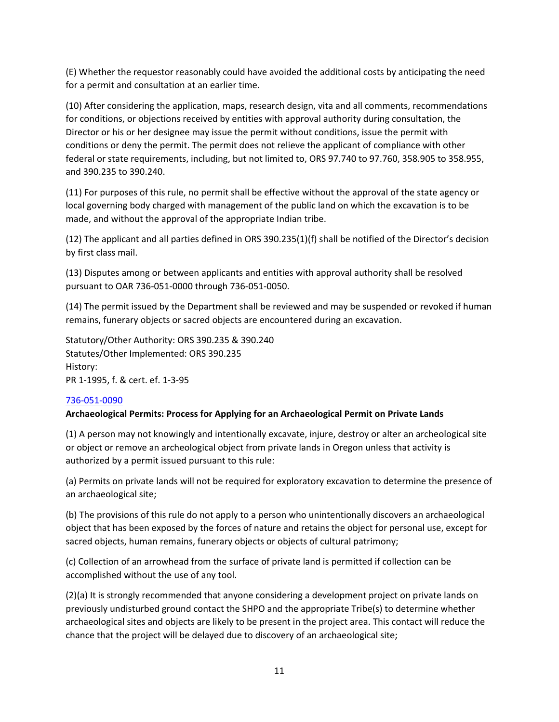(E) Whether the requestor reasonably could have avoided the additional costs by anticipating the need for a permit and consultation at an earlier time.

(10) After considering the application, maps, research design, vita and all comments, recommendations for conditions, or objections received by entities with approval authority during consultation, the Director or his or her designee may issue the permit without conditions, issue the permit with conditions or deny the permit. The permit does not relieve the applicant of compliance with other federal or state requirements, including, but not limited to, ORS 97.740 to 97.760, 358.905 to 358.955, and 390.235 to 390.240.

(11) For purposes of this rule, no permit shall be effective without the approval of the state agency or local governing body charged with management of the public land on which the excavation is to be made, and without the approval of the appropriate Indian tribe.

(12) The applicant and all parties defined in ORS 390.235(1)(f) shall be notified of the Director's decision by first class mail.

(13) Disputes among or between applicants and entities with approval authority shall be resolved pursuant to OAR 736‐051‐0000 through 736‐051‐0050.

(14) The permit issued by the Department shall be reviewed and may be suspended or revoked if human remains, funerary objects or sacred objects are encountered during an excavation.

Statutory/Other Authority: ORS 390.235 & 390.240 Statutes/Other Implemented: ORS 390.235 History: PR 1‐1995, f. & cert. ef. 1‐3‐95

## 736‐051‐0090

## **Archaeological Permits: Process for Applying for an Archaeological Permit on Private Lands**

(1) A person may not knowingly and intentionally excavate, injure, destroy or alter an archeological site or object or remove an archeological object from private lands in Oregon unless that activity is authorized by a permit issued pursuant to this rule:

(a) Permits on private lands will not be required for exploratory excavation to determine the presence of an archaeological site;

(b) The provisions of this rule do not apply to a person who unintentionally discovers an archaeological object that has been exposed by the forces of nature and retains the object for personal use, except for sacred objects, human remains, funerary objects or objects of cultural patrimony;

(c) Collection of an arrowhead from the surface of private land is permitted if collection can be accomplished without the use of any tool.

(2)(a) It is strongly recommended that anyone considering a development project on private lands on previously undisturbed ground contact the SHPO and the appropriate Tribe(s) to determine whether archaeological sites and objects are likely to be present in the project area. This contact will reduce the chance that the project will be delayed due to discovery of an archaeological site;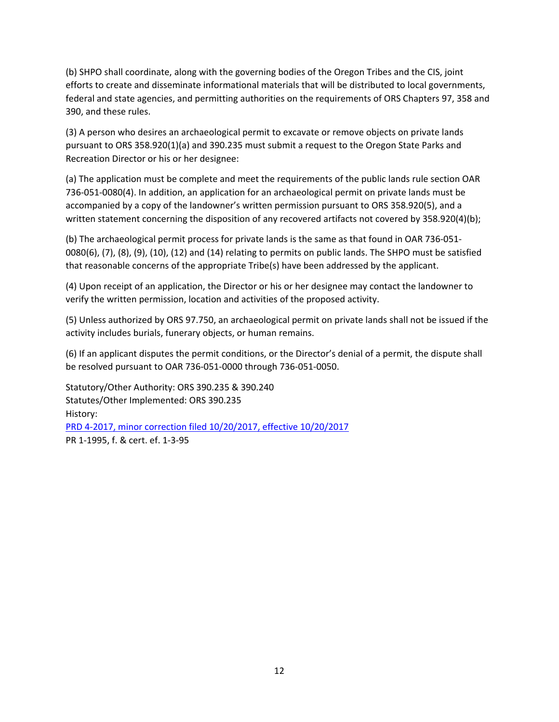(b) SHPO shall coordinate, along with the governing bodies of the Oregon Tribes and the CIS, joint efforts to create and disseminate informational materials that will be distributed to local governments, federal and state agencies, and permitting authorities on the requirements of ORS Chapters 97, 358 and 390, and these rules.

(3) A person who desires an archaeological permit to excavate or remove objects on private lands pursuant to ORS 358.920(1)(a) and 390.235 must submit a request to the Oregon State Parks and Recreation Director or his or her designee:

(a) The application must be complete and meet the requirements of the public lands rule section OAR 736‐051‐0080(4). In addition, an application for an archaeological permit on private lands must be accompanied by a copy of the landowner's written permission pursuant to ORS 358.920(5), and a written statement concerning the disposition of any recovered artifacts not covered by 358.920(4)(b);

(b) The archaeological permit process for private lands is the same as that found in OAR 736‐051‐ 0080(6), (7), (8), (9), (10), (12) and (14) relating to permits on public lands. The SHPO must be satisfied that reasonable concerns of the appropriate Tribe(s) have been addressed by the applicant.

(4) Upon receipt of an application, the Director or his or her designee may contact the landowner to verify the written permission, location and activities of the proposed activity.

(5) Unless authorized by ORS 97.750, an archaeological permit on private lands shall not be issued if the activity includes burials, funerary objects, or human remains.

(6) If an applicant disputes the permit conditions, or the Director's denial of a permit, the dispute shall be resolved pursuant to OAR 736‐051‐0000 through 736‐051‐0050.

Statutory/Other Authority: ORS 390.235 & 390.240 Statutes/Other Implemented: ORS 390.235 History: PRD 4‐2017, minor correction filed 10/20/2017, effective 10/20/2017 PR 1‐1995, f. & cert. ef. 1‐3‐95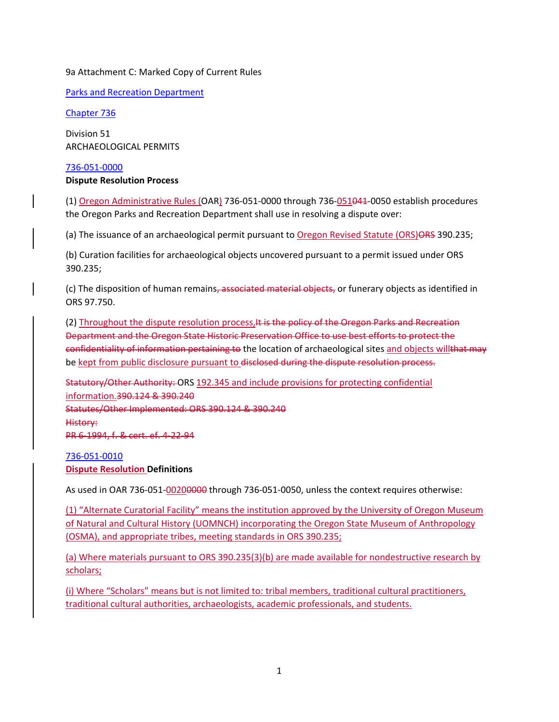## 9a Attachment C: Marked Copy of Current Rules

Parks and Recreation Department

Chapter 736

Division 51 ARCHAEOLOGICAL PERMITS

736‐051‐0000

## **Dispute Resolution Process**

(1) Oregon Administrative Rules (OAR) 736‐051‐0000 through 736‐051041‐0050 establish procedures the Oregon Parks and Recreation Department shall use in resolving a dispute over:

(a) The issuance of an archaeological permit pursuant to Oregon Revised Statute (ORS)ORS 390.235;

(b) Curation facilities for archaeological objects uncovered pursuant to a permit issued under ORS 390.235;

(c) The disposition of human remains, associated material objects, or funerary objects as identified in ORS 97.750.

(2) Throughout the dispute resolution process, It is the policy of the Oregon Parks and Recreation Department and the Oregon State Historic Preservation Office to use best efforts to protect the confidentiality of information pertaining to the location of archaeological sites and objects willthat may be kept from public disclosure pursuant to disclosed during the dispute resolution process.

Statutory/Other Authority: ORS 192.345 and include provisions for protecting confidential information.390.124 & 390.240 Statutes/Other Implemented: ORS 390.124 & 390.240 History: PR 6‐1994, f. & cert. ef. 4‐22‐94

# 736‐051‐0010 **Dispute Resolution Definitions**

As used in OAR 736-051-00200000 through 736-051-0050, unless the context requires otherwise:

(1) "Alternate Curatorial Facility" means the institution approved by the University of Oregon Museum of Natural and Cultural History (UOMNCH) incorporating the Oregon State Museum of Anthropology (OSMA), and appropriate tribes, meeting standards in ORS 390.235;

(a) Where materials pursuant to ORS 390.235(3)(b) are made available for nondestructive research by scholars;

(i) Where "Scholars" means but is not limited to: tribal members, traditional cultural practitioners, traditional cultural authorities, archaeologists, academic professionals, and students.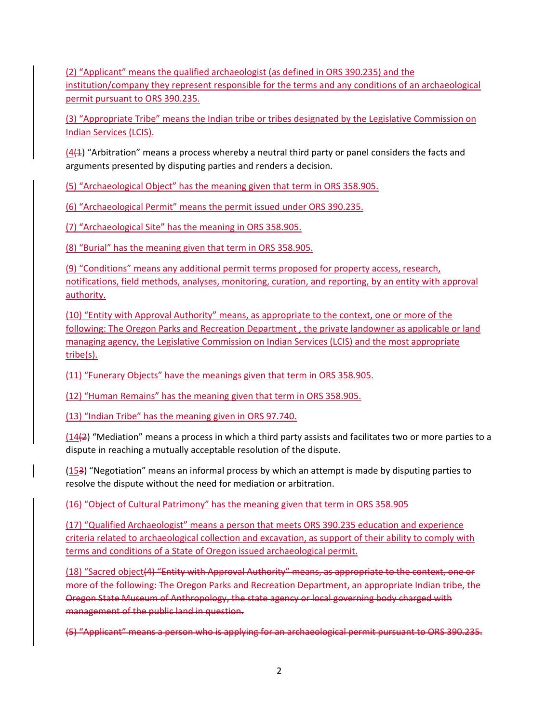(2) "Applicant" means the qualified archaeologist (as defined in ORS 390.235) and the institution/company they represent responsible for the terms and any conditions of an archaeological permit pursuant to ORS 390.235.

(3) "Appropriate Tribe" means the Indian tribe or tribes designated by the Legislative Commission on Indian Services (LCIS).

 $(4(4))$  "Arbitration" means a process whereby a neutral third party or panel considers the facts and arguments presented by disputing parties and renders a decision.

(5) "Archaeological Object" has the meaning given that term in ORS 358.905.

(6) "Archaeological Permit" means the permit issued under ORS 390.235.

(7) "Archaeological Site" has the meaning in ORS 358.905.

(8) "Burial" has the meaning given that term in ORS 358.905.

(9) "Conditions" means any additional permit terms proposed for property access, research, notifications, field methods, analyses, monitoring, curation, and reporting, by an entity with approval authority.

(10) "Entity with Approval Authority" means, as appropriate to the context, one or more of the following: The Oregon Parks and Recreation Department , the private landowner as applicable or land managing agency, the Legislative Commission on Indian Services (LCIS) and the most appropriate tribe(s).

(11) "Funerary Objects" have the meanings given that term in ORS 358.905.

(12) "Human Remains" has the meaning given that term in ORS 358.905.

(13) "Indian Tribe" has the meaning given in ORS 97.740.

(14(2) "Mediation" means a process in which a third party assists and facilitates two or more parties to a dispute in reaching a mutually acceptable resolution of the dispute.

(153) "Negotiation" means an informal process by which an attempt is made by disputing parties to resolve the dispute without the need for mediation or arbitration.

(16) "Object of Cultural Patrimony" has the meaning given that term in ORS 358.905

(17) "Qualified Archaeologist" means a person that meets ORS 390.235 education and experience criteria related to archaeological collection and excavation, as support of their ability to comply with terms and conditions of a State of Oregon issued archaeological permit.

(18) "Sacred object(4) "Entity with Approval Authority" means, as appropriate to the context, one or more of the following: The Oregon Parks and Recreation Department, an appropriate Indian tribe, the Oregon State Museum of Anthropology, the state agency or local governing body charged with management of the public land in question.

(5) "Applicant" means a person who is applying for an archaeological permit pursuant to ORS 390.235.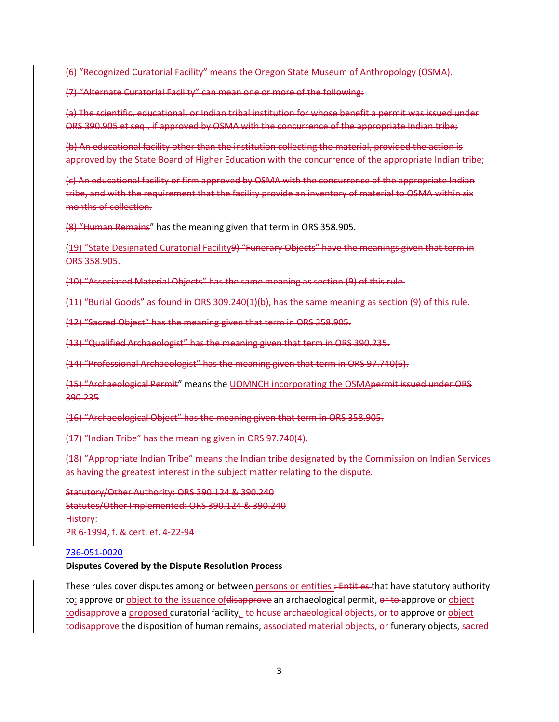(6) "Recognized Curatorial Facility" means the Oregon State Museum of Anthropology (OSMA).

(7) "Alternate Curatorial Facility" can mean one or more of the following:

(a) The scientific, educational, or Indian tribal institution for whose benefit a permit was issued under ORS 390.905 et seq., if approved by OSMA with the concurrence of the appropriate Indian tribe;

(b) An educational facility other than the institution collecting the material, provided the action is approved by the State Board of Higher Education with the concurrence of the appropriate Indian tribe;

(c) An educational facility or firm approved by OSMA with the concurrence of the appropriate Indian tribe, and with the requirement that the facility provide an inventory of material to OSMA within six months of collection.

(8) "Human Remains" has the meaning given that term in ORS 358.905.

(19) "State Designated Curatorial Facility9) "Funerary Objects" have the meanings given that term in ORS 358.905.

(10) "Associated Material Objects" has the same meaning as section (9) of this rule.

(11) "Burial Goods" as found in ORS 309.240(1)(b), has the same meaning as section (9) of this rule.

(12) "Sacred Object" has the meaning given that term in ORS 358.905.

(13) "Qualified Archaeologist" has the meaning given that term in ORS 390.235.

(14) "Professional Archaeologist" has the meaning given that term in ORS 97.740(6).

(15) "Archaeological Permit" means the UOMNCH incorporating the OSMApermit issued under ORS 390.235.

(16) "Archaeological Object" has the meaning given that term in ORS 358.905.

(17) "Indian Tribe" has the meaning given in ORS 97.740(4).

(18) "Appropriate Indian Tribe" means the Indian tribe designated by the Commission on Indian Services as having the greatest interest in the subject matter relating to the dispute.

Statutory/Other Authority: ORS 390.124 & 390.240 Statutes/Other Implemented: ORS 390.124 & 390.240 History: PR 6‐1994, f. & cert. ef. 4‐22‐94

#### 736‐051‐0020

#### **Disputes Covered by the Dispute Resolution Process**

These rules cover disputes among or between persons or entities : Entities that have statutory authority to: approve or object to the issuance of disapprove an archaeological permit, or to approve or object todisapprove a proposed curatorial facility,  $\pm$ o house archaeological objects, or to approve or object todisapprove the disposition of human remains, associated material objects, or funerary objects, sacred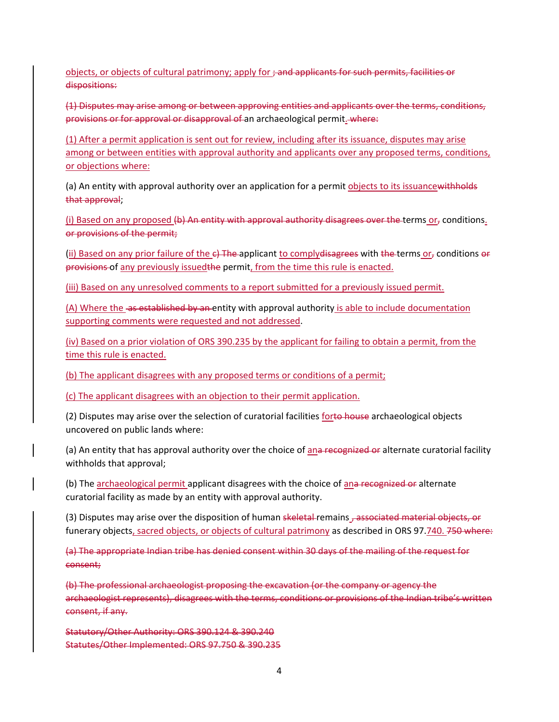objects, or objects of cultural patrimony; apply for ; and applicants for such permits, facilities or dispositions:

(1) Disputes may arise among or between approving entities and applicants over the terms, conditions, provisions or for approval or disapproval of an archaeological permit. where:

(1) After a permit application is sent out for review, including after its issuance, disputes may arise among or between entities with approval authority and applicants over any proposed terms, conditions, or objections where:

(a) An entity with approval authority over an application for a permit objects to its issuancewithholds that approval;

(i) Based on any proposed (b) An entity with approval authority disagrees over the terms or, conditions. or provisions of the permit;

(ii) Based on any prior failure of the  $e$ ) The applicant to comply disagrees with the terms or  $\sigma$  conditions or provisions of any previously issued the permit, from the time this rule is enacted.

(iii) Based on any unresolved comments to a report submitted for a previously issued permit.

(A) Where the as established by an entity with approval authority is able to include documentation supporting comments were requested and not addressed.

(iv) Based on a prior violation of ORS 390.235 by the applicant for failing to obtain a permit, from the time this rule is enacted.

(b) The applicant disagrees with any proposed terms or conditions of a permit;

(c) The applicant disagrees with an objection to their permit application.

(2) Disputes may arise over the selection of curatorial facilities forto house archaeological objects uncovered on public lands where:

(a) An entity that has approval authority over the choice of ana recognized or alternate curatorial facility withholds that approval;

(b) The archaeological permit applicant disagrees with the choice of ana-recognized or alternate curatorial facility as made by an entity with approval authority.

(3) Disputes may arise over the disposition of human skeletal remains  $\tau$  associated material objects, or funerary objects, sacred objects, or objects of cultural patrimony as described in ORS 97.740. 750 where:

(a) The appropriate Indian tribe has denied consent within 30 days of the mailing of the request for consent;

(b) The professional archaeologist proposing the excavation (or the company or agency the archaeologist represents), disagrees with the terms, conditions or provisions of the Indian tribe's written consent, if any.

Statutory/Other Authority: ORS 390.124 & 390.240 Statutes/Other Implemented: ORS 97.750 & 390.235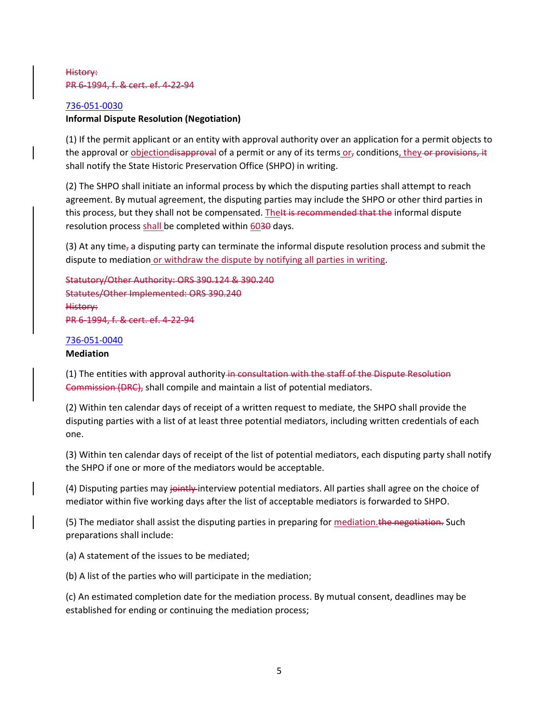# History: PR 6‐1994, f. & cert. ef. 4‐22‐94

## 736‐051‐0030

## **Informal Dispute Resolution (Negotiation)**

(1) If the permit applicant or an entity with approval authority over an application for a permit objects to the approval or <u>objectiondisapproval</u> of a permit or any of its terms or, conditions, they or provisions, it shall notify the State Historic Preservation Office (SHPO) in writing.

(2) The SHPO shall initiate an informal process by which the disputing parties shall attempt to reach agreement. By mutual agreement, the disputing parties may include the SHPO or other third parties in this process, but they shall not be compensated. The H is recommended that the informal dispute resolution process shall be completed within 6030 days.

(3) At any time<sub>r</sub> a disputing party can terminate the informal dispute resolution process and submit the dispute to mediation or withdraw the dispute by notifying all parties in writing.

Statutory/Other Authority: ORS 390.124 & 390.240 Statutes/Other Implemented: ORS 390.240 History: PR 6‐1994, f. & cert. ef. 4‐22‐94

## 736‐051‐0040

## **Mediation**

(1) The entities with approval authority in consultation with the staff of the Dispute Resolution Commission (DRC), shall compile and maintain a list of potential mediators.

(2) Within ten calendar days of receipt of a written request to mediate, the SHPO shall provide the disputing parties with a list of at least three potential mediators, including written credentials of each one.

(3) Within ten calendar days of receipt of the list of potential mediators, each disputing party shall notify the SHPO if one or more of the mediators would be acceptable.

(4) Disputing parties may jointly interview potential mediators. All parties shall agree on the choice of mediator within five working days after the list of acceptable mediators is forwarded to SHPO.

(5) The mediator shall assist the disputing parties in preparing for mediation. the negotiation. Such preparations shall include:

(a) A statement of the issues to be mediated;

(b) A list of the parties who will participate in the mediation;

(c) An estimated completion date for the mediation process. By mutual consent, deadlines may be established for ending or continuing the mediation process;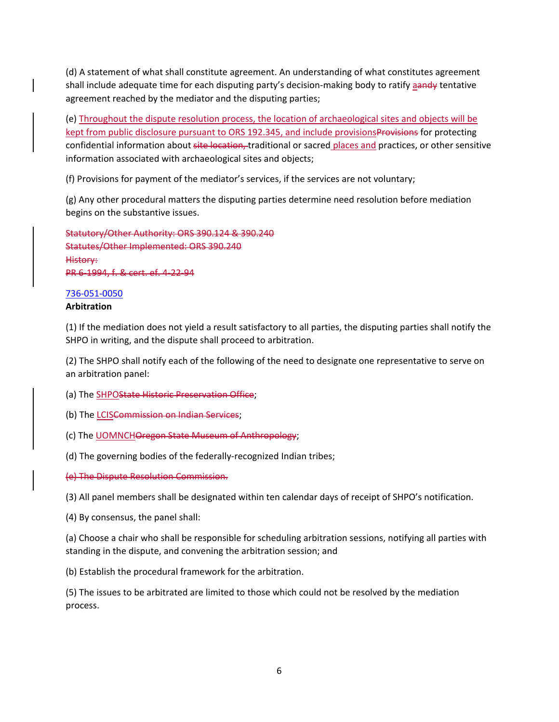(d) A statement of what shall constitute agreement. An understanding of what constitutes agreement shall include adequate time for each disputing party's decision-making body to ratify aandy tentative agreement reached by the mediator and the disputing parties;

(e) Throughout the dispute resolution process, the location of archaeological sites and objects will be kept from public disclosure pursuant to ORS 192.345, and include provisionsProvisions for protecting confidential information about site location, traditional or sacred places and practices, or other sensitive information associated with archaeological sites and objects;

(f) Provisions for payment of the mediator's services, if the services are not voluntary;

(g) Any other procedural matters the disputing parties determine need resolution before mediation begins on the substantive issues.

Statutory/Other Authority: ORS 390.124 & 390.240 Statutes/Other Implemented: ORS 390.240 History: PR 6‐1994, f. & cert. ef. 4‐22‐94

# 736‐051‐0050

# **Arbitration**

(1) If the mediation does not yield a result satisfactory to all parties, the disputing parties shall notify the SHPO in writing, and the dispute shall proceed to arbitration.

(2) The SHPO shall notify each of the following of the need to designate one representative to serve on an arbitration panel:

(a) The SHPOState Historic Preservation Office;

- (b) The **LCISCommission on Indian Services**;
- (c) The **UOMNCHOregon State Museum of Anthropology**;
- (d) The governing bodies of the federally‐recognized Indian tribes;
- (e) The Dispute Resolution Commission.

(3) All panel members shall be designated within ten calendar days of receipt of SHPO's notification.

(4) By consensus, the panel shall:

(a) Choose a chair who shall be responsible for scheduling arbitration sessions, notifying all parties with standing in the dispute, and convening the arbitration session; and

(b) Establish the procedural framework for the arbitration.

(5) The issues to be arbitrated are limited to those which could not be resolved by the mediation process.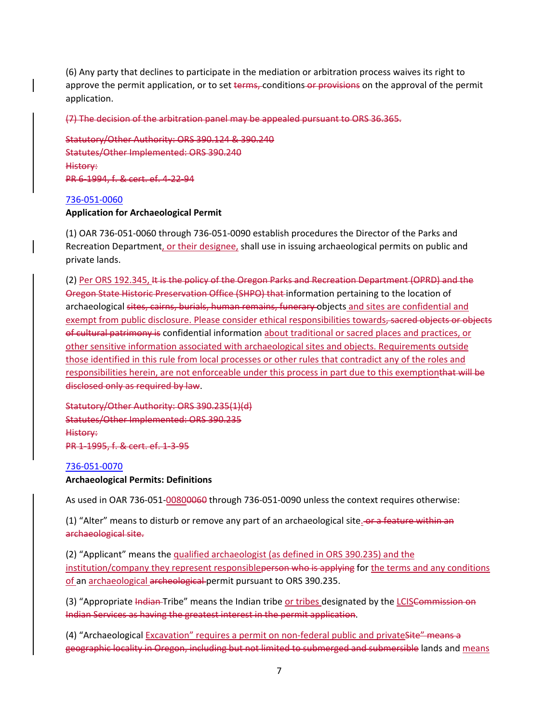(6) Any party that declines to participate in the mediation or arbitration process waives its right to approve the permit application, or to set terms, conditions or provisions on the approval of the permit application.

(7) The decision of the arbitration panel may be appealed pursuant to ORS 36.365.

Statutory/Other Authority: ORS 390.124 & 390.240 Statutes/Other Implemented: ORS 390.240 History: PR 6‐1994, f. & cert. ef. 4‐22‐94

#### 736‐051‐0060

#### **Application for Archaeological Permit**

(1) OAR 736‐051‐0060 through 736‐051‐0090 establish procedures the Director of the Parks and Recreation Department, or their designee, shall use in issuing archaeological permits on public and private lands.

(2) Per ORS 192.345, It is the policy of the Oregon Parks and Recreation Department (OPRD) and the Oregon State Historic Preservation Office (SHPO) that information pertaining to the location of archaeological sites, cairns, burials, human remains, funerary objects and sites are confidential and exempt from public disclosure. Please consider ethical responsibilities towards, sacred objects or objects of cultural patrimony is confidential information about traditional or sacred places and practices, or other sensitive information associated with archaeological sites and objects. Requirements outside those identified in this rule from local processes or other rules that contradict any of the roles and responsibilities herein, are not enforceable under this process in part due to this exemptionthat will be disclosed only as required by law.

Statutory/Other Authority: ORS 390.235(1)(d) Statutes/Other Implemented: ORS 390.235 History: PR 1‐1995, f. & cert. ef. 1‐3‐95

#### 736‐051‐0070

# **Archaeological Permits: Definitions**

As used in OAR 736‐051‐00800060 through 736‐051‐0090 unless the context requires otherwise:

(1) "Alter" means to disturb or remove any part of an archaeological site. or a feature within an archaeological site.

(2) "Applicant" means the qualified archaeologist (as defined in ORS 390.235) and the institution/company they represent responsibleperson who is applying for the terms and any conditions of an archaeological archeological permit pursuant to ORS 390.235.

(3) "Appropriate Indian Tribe" means the Indian tribe or tribes designated by the LCISCommission on Indian Services as having the greatest interest in the permit application.

(4) "Archaeological Excavation" requires a permit on non-federal public and private Site" means a geographic locality in Oregon, including but not limited to submerged and submersible lands and means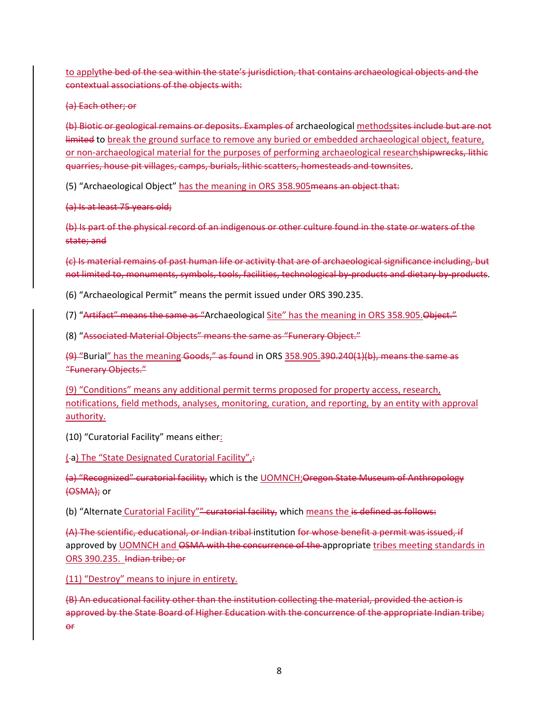to applythe bed of the sea within the state's jurisdiction, that contains archaeological objects and the contextual associations of the objects with:

(a) Each other; or

(b) Biotic or geological remains or deposits. Examples of archaeological methodssites include but are not limited to break the ground surface to remove any buried or embedded archaeological object, feature, or non-archaeological material for the purposes of performing archaeological researchshipwrecks, lithic quarries, house pit villages, camps, burials, lithic scatters, homesteads and townsites.

(5) "Archaeological Object" has the meaning in ORS 358.905means an object that:

(a) Is at least 75 years old;

(b) Is part of the physical record of an indigenous or other culture found in the state or waters of the state; and

(c) Is material remains of past human life or activity that are of archaeological significance including, but not limited to, monuments, symbols, tools, facilities, technological by–products and dietary by–products.

(6) "Archaeological Permit" means the permit issued under ORS 390.235.

(7) "Artifact" means the same as "Archaeological Site" has the meaning in ORS 358.905. Object."

(8) "Associated Material Objects" means the same as "Funerary Object."

(9) "Burial" has the meaning Goods," as found in ORS 358.905.390.240(1)(b), means the same as "Funerary Objects."

(9) "Conditions" means any additional permit terms proposed for property access, research, notifications, field methods, analyses, monitoring, curation, and reporting, by an entity with approval authority.

(10) "Curatorial Facility" means either:

(-a) The "State Designated Curatorial Facility".

(a) "Recognized" curatorial facility, which is the UOMNCH;Oregon State Museum of Anthropology (OSMA); or

(b) "Alternate Curatorial Facility"" curatorial facility, which means the is defined as follows:

(A) The scientific, educational, or Indian tribal institution for whose benefit a permit was issued, if approved by UOMNCH and OSMA with the concurrence of the appropriate tribes meeting standards in ORS 390.235. Indian tribe; or

(11) "Destroy" means to injure in entirety.

(B) An educational facility other than the institution collecting the material, provided the action is approved by the State Board of Higher Education with the concurrence of the appropriate Indian tribe; or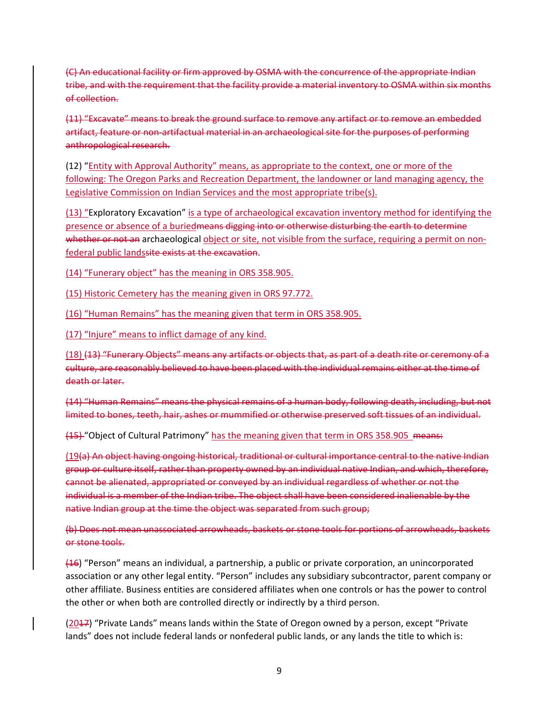(C) An educational facility or firm approved by OSMA with the concurrence of the appropriate Indian tribe, and with the requirement that the facility provide a material inventory to OSMA within six months of collection.

(11) "Excavate" means to break the ground surface to remove any artifact or to remove an embedded artifact, feature or non-artifactual material in an archaeological site for the purposes of performing anthropological research.

(12) "Entity with Approval Authority" means, as appropriate to the context, one or more of the following: The Oregon Parks and Recreation Department, the landowner or land managing agency, the Legislative Commission on Indian Services and the most appropriate tribe(s).

(13) "Exploratory Excavation" is a type of archaeological excavation inventory method for identifying the presence or absence of a buriedmeans digging into or otherwise disturbing the earth to determine whether or not an archaeological object or site, not visible from the surface, requiring a permit on nonfederal public landssite exists at the excavation.

(14) "Funerary object" has the meaning in ORS 358.905.

(15) Historic Cemetery has the meaning given in ORS 97.772.

(16) "Human Remains" has the meaning given that term in ORS 358.905.

(17) "Injure" means to inflict damage of any kind.

(18) (13) "Funerary Objects" means any artifacts or objects that, as part of a death rite or ceremony of a culture, are reasonably believed to have been placed with the individual remains either at the time of death or later.

(14) "Human Remains" means the physical remains of a human body, following death, including, but not limited to bones, teeth, hair, ashes or mummified or otherwise preserved soft tissues of an individual.

(15) "Object of Cultural Patrimony" has the meaning given that term in ORS 358.905 means:

(19(a) An object having ongoing historical, traditional or cultural importance central to the native Indian group or culture itself, rather than property owned by an individual native Indian, and which, therefore, cannot be alienated, appropriated or conveyed by an individual regardless of whether or not the individual is a member of the Indian tribe. The object shall have been considered inalienable by the native Indian group at the time the object was separated from such group;

(b) Does not mean unassociated arrowheads, baskets or stone tools for portions of arrowheads, baskets or stone tools.

 $(16)$  "Person" means an individual, a partnership, a public or private corporation, an unincorporated association or any other legal entity. "Person" includes any subsidiary subcontractor, parent company or other affiliate. Business entities are considered affiliates when one controls or has the power to control the other or when both are controlled directly or indirectly by a third person.

(2017) "Private Lands" means lands within the State of Oregon owned by a person, except "Private lands" does not include federal lands or nonfederal public lands, or any lands the title to which is: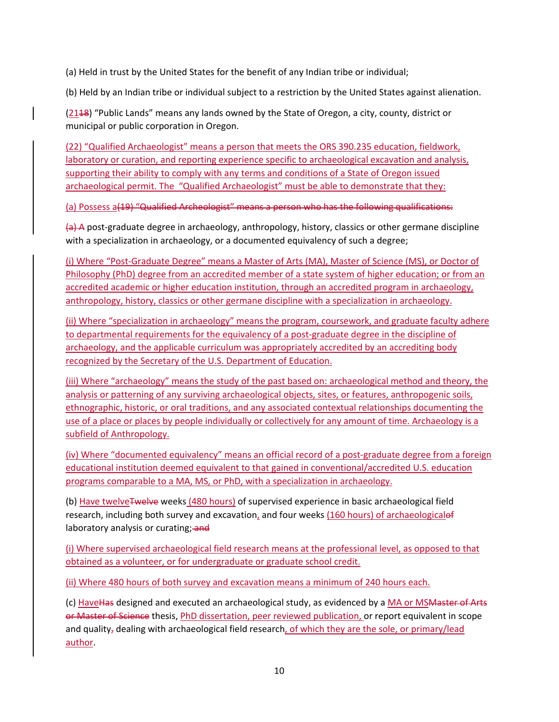(a) Held in trust by the United States for the benefit of any Indian tribe or individual;

(b) Held by an Indian tribe or individual subject to a restriction by the United States against alienation.

(2118) "Public Lands" means any lands owned by the State of Oregon, a city, county, district or municipal or public corporation in Oregon.

(22) "Qualified Archaeologist" means a person that meets the ORS 390.235 education, fieldwork, laboratory or curation, and reporting experience specific to archaeological excavation and analysis, supporting their ability to comply with any terms and conditions of a State of Oregon issued archaeological permit. The "Qualified Archaeologist" must be able to demonstrate that they:

(a) Possess a(19) "Qualified Archeologist" means a person who has the following qualifications:

(a) A post‐graduate degree in archaeology, anthropology, history, classics or other germane discipline with a specialization in archaeology, or a documented equivalency of such a degree;

(i) Where "Post‐Graduate Degree" means a Master of Arts (MA), Master of Science (MS), or Doctor of Philosophy (PhD) degree from an accredited member of a state system of higher education; or from an accredited academic or higher education institution, through an accredited program in archaeology, anthropology, history, classics or other germane discipline with a specialization in archaeology.

(ii) Where "specialization in archaeology" means the program, coursework, and graduate faculty adhere to departmental requirements for the equivalency of a post-graduate degree in the discipline of archaeology, and the applicable curriculum was appropriately accredited by an accrediting body recognized by the Secretary of the U.S. Department of Education.

(iii) Where "archaeology" means the study of the past based on: archaeological method and theory, the analysis or patterning of any surviving archaeological objects, sites, or features, anthropogenic soils, ethnographic, historic, or oral traditions, and any associated contextual relationships documenting the use of a place or places by people individually or collectively for any amount of time. Archaeology is a subfield of Anthropology.

(iv) Where "documented equivalency" means an official record of a post‐graduate degree from a foreign educational institution deemed equivalent to that gained in conventional/accredited U.S. education programs comparable to a MA, MS, or PhD, with a specialization in archaeology.

(b) Have twelve<del>Twelve</del> weeks (480 hours) of supervised experience in basic archaeological field research, including both survey and excavation, and four weeks  $(160$  hours) of archaeologicalef laboratory analysis or curating; and

(i) Where supervised archaeological field research means at the professional level, as opposed to that obtained as a volunteer, or for undergraduate or graduate school credit.

(ii) Where 480 hours of both survey and excavation means a minimum of 240 hours each.

(c) HaveHas designed and executed an archaeological study, as evidenced by a MA or MSMaster of Arts or Master of Science thesis, PhD dissertation, peer reviewed publication, or report equivalent in scope and quality, dealing with archaeological field research, of which they are the sole, or primary/lead author.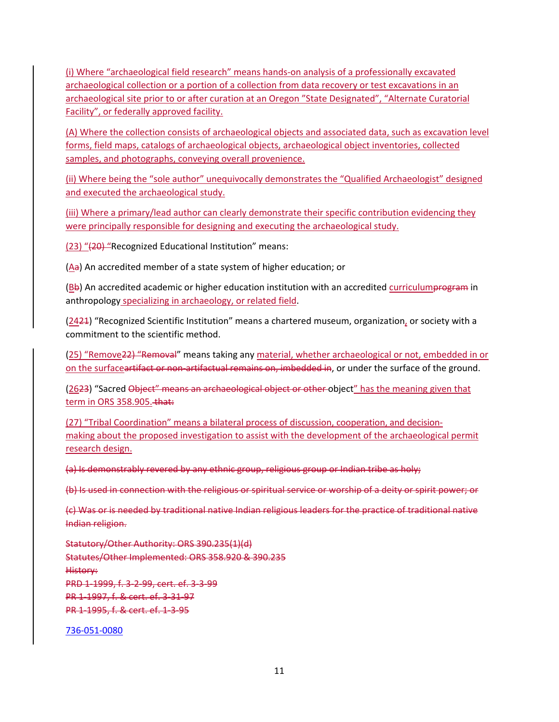(i) Where "archaeological field research" means hands‐on analysis of a professionally excavated archaeological collection or a portion of a collection from data recovery or test excavations in an archaeological site prior to or after curation at an Oregon "State Designated", "Alternate Curatorial Facility", or federally approved facility.

(A) Where the collection consists of archaeological objects and associated data, such as excavation level forms, field maps, catalogs of archaeological objects, archaeological object inventories, collected samples, and photographs, conveying overall provenience.

(ii) Where being the "sole author" unequivocally demonstrates the "Qualified Archaeologist" designed and executed the archaeological study.

(iii) Where a primary/lead author can clearly demonstrate their specific contribution evidencing they were principally responsible for designing and executing the archaeological study.

(23) "(20) "Recognized Educational Institution" means:

(Aa) An accredited member of a state system of higher education; or

(Bb) An accredited academic or higher education institution with an accredited curriculumprogram in anthropology specializing in archaeology, or related field.

(2421) "Recognized Scientific Institution" means a chartered museum, organization, or society with a commitment to the scientific method.

(25) "Remove22) "Removal" means taking any material, whether archaeological or not, embedded in or on the surfaceartifact or non-artifactual remains on, imbedded in, or under the surface of the ground.

(2623) "Sacred Object" means an archaeological object or other object" has the meaning given that term in ORS 358.905. that:

(27) "Tribal Coordination" means a bilateral process of discussion, cooperation, and decision‐ making about the proposed investigation to assist with the development of the archaeological permit research design.

(a) Is demonstrably revered by any ethnic group, religious group or Indian tribe as holy;

(b) Is used in connection with the religious or spiritual service or worship of a deity or spirit power; or

(c) Was or is needed by traditional native Indian religious leaders for the practice of traditional native Indian religion.

Statutory/Other Authority: ORS 390.235(1)(d) Statutes/Other Implemented: ORS 358.920 & 390.235 History: PRD 1‐1999, f. 3‐2‐99, cert. ef. 3‐3‐99 PR 1‐1997, f. & cert. ef. 3‐31‐97 PR 1‐1995, f. & cert. ef. 1‐3‐95

736‐051‐0080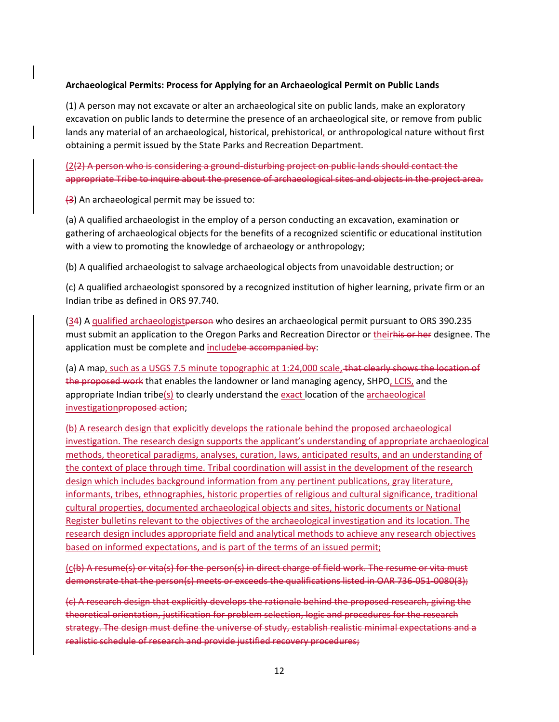## **Archaeological Permits: Process for Applying for an Archaeological Permit on Public Lands**

(1) A person may not excavate or alter an archaeological site on public lands, make an exploratory excavation on public lands to determine the presence of an archaeological site, or remove from public lands any material of an archaeological, historical, prehistorical, or anthropological nature without first obtaining a permit issued by the State Parks and Recreation Department.

(2(2) A person who is considering a ground‐disturbing project on public lands should contact the appropriate Tribe to inquire about the presence of archaeological sites and objects in the project area.

(3) An archaeological permit may be issued to:

(a) A qualified archaeologist in the employ of a person conducting an excavation, examination or gathering of archaeological objects for the benefits of a recognized scientific or educational institution with a view to promoting the knowledge of archaeology or anthropology;

(b) A qualified archaeologist to salvage archaeological objects from unavoidable destruction; or

(c) A qualified archaeologist sponsored by a recognized institution of higher learning, private firm or an Indian tribe as defined in ORS 97.740.

(34) A qualified archaeologistperson who desires an archaeological permit pursuant to ORS 390.235 must submit an application to the Oregon Parks and Recreation Director or theirhis or her designee. The application must be complete and includebe accompanied by:

(a) A map, such as a USGS 7.5 minute topographic at 1:24,000 scale, that clearly shows the location of the proposed work that enables the landowner or land managing agency, SHPO, LCIS, and the appropriate Indian tribe( $s$ ) to clearly understand the exact location of the archaeological investigationproposed action;

(b) A research design that explicitly develops the rationale behind the proposed archaeological investigation. The research design supports the applicant's understanding of appropriate archaeological methods, theoretical paradigms, analyses, curation, laws, anticipated results, and an understanding of the context of place through time. Tribal coordination will assist in the development of the research design which includes background information from any pertinent publications, gray literature, informants, tribes, ethnographies, historic properties of religious and cultural significance, traditional cultural properties, documented archaeological objects and sites, historic documents or National Register bulletins relevant to the objectives of the archaeological investigation and its location. The research design includes appropriate field and analytical methods to achieve any research objectives based on informed expectations, and is part of the terms of an issued permit;

(c(b) A resume(s) or vita(s) for the person(s) in direct charge of field work. The resume or vita must demonstrate that the person(s) meets or exceeds the qualifications listed in OAR 736-051-0080(3);

(c) A research design that explicitly develops the rationale behind the proposed research, giving the theoretical orientation, justification for problem selection, logic and procedures for the research strategy. The design must define the universe of study, establish realistic minimal expectations and a realistic schedule of research and provide justified recovery procedures;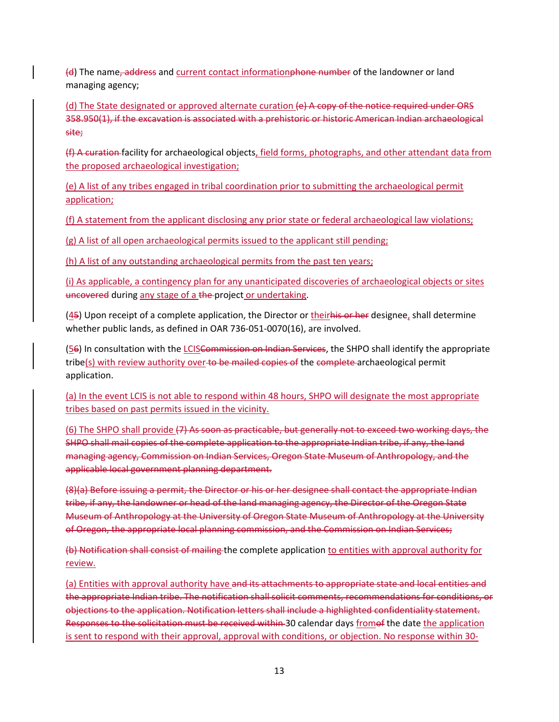(d) The name, address and current contact informationphone number of the landowner or land managing agency;

(d) The State designated or approved alternate curation (e) A copy of the notice required under ORS 358.950(1), if the excavation is associated with a prehistoric or historic American Indian archaeological site;

(f) A curation facility for archaeological objects, field forms, photographs, and other attendant data from the proposed archaeological investigation;

(e) A list of any tribes engaged in tribal coordination prior to submitting the archaeological permit application;

(f) A statement from the applicant disclosing any prior state or federal archaeological law violations;

(g) A list of all open archaeological permits issued to the applicant still pending;

(h) A list of any outstanding archaeological permits from the past ten years;

(i) As applicable, a contingency plan for any unanticipated discoveries of archaeological objects or sites uncovered during any stage of a the project or undertaking.

(45) Upon receipt of a complete application, the Director or theirhis or her designee, shall determine whether public lands, as defined in OAR 736‐051‐0070(16), are involved.

(56) In consultation with the LCISCommission on Indian Services, the SHPO shall identify the appropriate tribe(s) with review authority over to be mailed copies of the complete archaeological permit application.

(a) In the event LCIS is not able to respond within 48 hours, SHPO will designate the most appropriate tribes based on past permits issued in the vicinity.

(6) The SHPO shall provide (7) As soon as practicable, but generally not to exceed two working days, the SHPO shall mail copies of the complete application to the appropriate Indian tribe, if any, the land managing agency, Commission on Indian Services, Oregon State Museum of Anthropology, and the applicable local government planning department.

(8)(a) Before issuing a permit, the Director or his or her designee shall contact the appropriate Indian tribe, if any, the landowner or head of the land managing agency, the Director of the Oregon State Museum of Anthropology at the University of Oregon State Museum of Anthropology at the University of Oregon, the appropriate local planning commission, and the Commission on Indian Services;

(b) Notification shall consist of mailing the complete application to entities with approval authority for review.

(a) Entities with approval authority have and its attachments to appropriate state and local entities and the appropriate Indian tribe. The notification shall solicit comments, recommendations for conditions, or objections to the application. Notification letters shall include a highlighted confidentiality statement. Responses to the solicitation must be received within 30 calendar days fromof the date the application is sent to respond with their approval, approval with conditions, or objection. No response within 30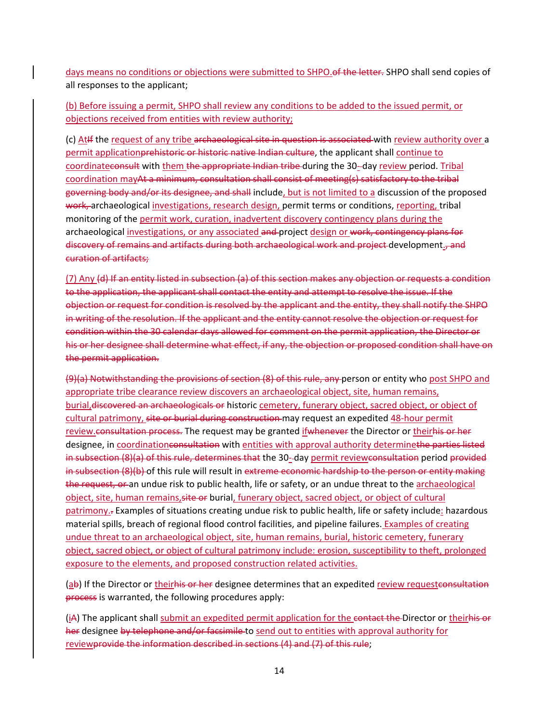days means no conditions or objections were submitted to SHPO. of the letter. SHPO shall send copies of all responses to the applicant;

(b) Before issuing a permit, SHPO shall review any conditions to be added to the issued permit, or objections received from entities with review authority;

(c) At If the request of any tribe archaeological site in question is associated with review authority over a permit applicationprehistoric or historic native Indian culture, the applicant shall continue to coordinateconsult with them the appropriate Indian tribe during the 30--day review period. Tribal coordination mayAt a minimum, consultation shall consist of meeting(s) satisfactory to the tribal governing body and/or its designee, and shall include, but is not limited to a discussion of the proposed work, archaeological investigations, research design, permit terms or conditions, reporting, tribal monitoring of the permit work, curation, inadvertent discovery contingency plans during the archaeological investigations, or any associated and project design or work, contingency plans for discovery of remains and artifacts during both archaeological work and project development., and curation of artifacts;

(7) Any (d) If an entity listed in subsection (a) of this section makes any objection or requests a condition to the application, the applicant shall contact the entity and attempt to resolve the issue. If the objection or request for condition is resolved by the applicant and the entity, they shall notify the SHPO in writing of the resolution. If the applicant and the entity cannot resolve the objection or request for condition within the 30 calendar days allowed for comment on the permit application, the Director or his or her designee shall determine what effect, if any, the objection or proposed condition shall have on the permit application.

(9)(a) Notwithstanding the provisions of section (8) of this rule, any person or entity who post SHPO and appropriate tribe clearance review discovers an archaeological object, site, human remains, burial,discovered an archaeologicals or historic cemetery, funerary object, sacred object, or object of cultural patrimony, site or burial during construction may request an expedited 48-hour permit review.consultation process. The request may be granted if whenever the Director or theirhis or her designee, in coordinationconsultation with entities with approval authority determinethe parties listed in subsection (8)(a) of this rule, determines that the 30-day permit reviewconsultation period provided in subsection (8)(b) of this rule will result in extreme economic hardship to the person or entity making the request, or an undue risk to public health, life or safety, or an undue threat to the archaeological object, site, human remains, site or burial, funerary object, sacred object, or object of cultural patrimony.- Examples of situations creating undue risk to public health, life or safety include: hazardous material spills, breach of regional flood control facilities, and pipeline failures. Examples of creating undue threat to an archaeological object, site, human remains, burial, historic cemetery, funerary object, sacred object, or object of cultural patrimony include: erosion, susceptibility to theft, prolonged exposure to the elements, and proposed construction related activities.

(ab) If the Director or their<del>his or her</del> designee determines that an expedited review requestconsultation process is warranted, the following procedures apply:

(iA) The applicant shall submit an expedited permit application for the contact the Director or theirhis or her designee by telephone and/or facsimile to send out to entities with approval authority for reviewprovide the information described in sections (4) and (7) of this rule;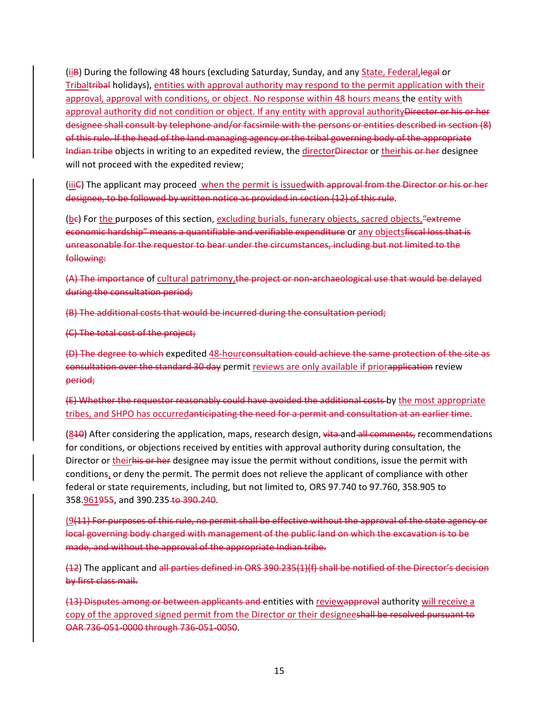(iiB) During the following 48 hours (excluding Saturday, Sunday, and any State, Federal, legal or Tribaltribal holidays), entities with approval authority may respond to the permit application with their approval, approval with conditions, or object. No response within 48 hours means the entity with approval authority did not condition or object. If any entity with approval authorityDirector or his or her designee shall consult by telephone and/or facsimile with the persons or entities described in section (8) of this rule. If the head of the land managing agency or the tribal governing body of the appropriate Indian tribe objects in writing to an expedited review, the directorDirector or theirhis or her designee will not proceed with the expedited review;

(iii) The applicant may proceed when the permit is issuedwith approval from the Director or his or her designee, to be followed by written notice as provided in section (12) of this rule.

(be) For the purposes of this section, excluding burials, funerary objects, sacred objects, "extreme economic hardship" means a quantifiable and verifiable expenditure or any objectsfiscal loss that is unreasonable for the requestor to bear under the circumstances, including but not limited to the following:

(A) The importance of cultural patrimony,the project or non‐archaeological use that would be delayed during the consultation period;

(B) The additional costs that would be incurred during the consultation period;

(C) The total cost of the project;

(D) The degree to which expedited 48‐hourconsultation could achieve the same protection of the site as consultation over the standard 30 day permit reviews are only available if priorapplication review period;

(E) Whether the requestor reasonably could have avoided the additional costs by the most appropriate tribes, and SHPO has occurredanticipating the need for a permit and consultation at an earlier time.

(840) After considering the application, maps, research design, vita and all comments, recommendations for conditions, or objections received by entities with approval authority during consultation, the Director or theirhis or her designee may issue the permit without conditions, issue the permit with conditions, or deny the permit. The permit does not relieve the applicant of compliance with other federal or state requirements, including, but not limited to, ORS 97.740 to 97.760, 358.905 to 358.961955, and 390.235 to 390.240.

(9(11) For purposes of this rule, no permit shall be effective without the approval of the state agency or local governing body charged with management of the public land on which the excavation is to be made, and without the approval of the appropriate Indian tribe.

(12) The applicant and all parties defined in ORS 390.235(1)(f) shall be notified of the Director's decision by first class mail.

(13) Disputes among or between applicants and entities with reviewapproval authority will receive a copy of the approved signed permit from the Director or their designeeshall be resolved pursuant to OAR 736‐051‐0000 through 736‐051‐0050.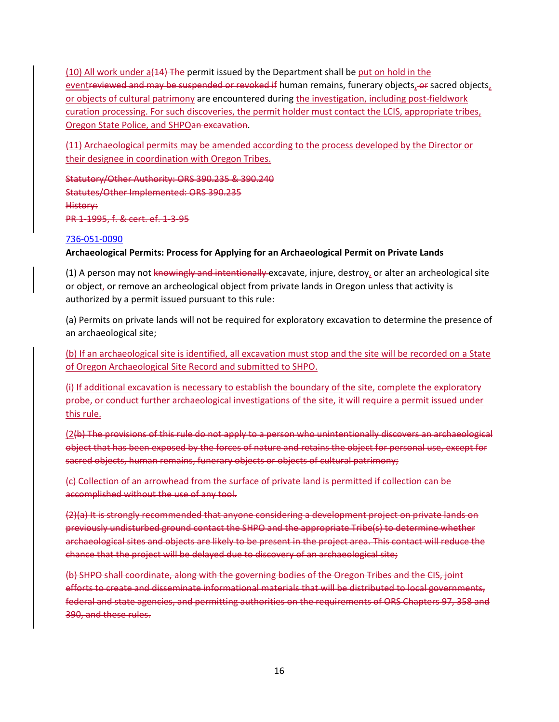(10) All work under a(14) The permit issued by the Department shall be put on hold in the eventreviewed and may be suspended or revoked if human remains, funerary objects, or sacred objects, or objects of cultural patrimony are encountered during the investigation, including post‐fieldwork curation processing. For such discoveries, the permit holder must contact the LCIS, appropriate tribes, Oregon State Police, and SHPOan excavation.

(11) Archaeological permits may be amended according to the process developed by the Director or their designee in coordination with Oregon Tribes.

Statutory/Other Authority: ORS 390.235 & 390.240 Statutes/Other Implemented: ORS 390.235 History: PR 1‐1995, f. & cert. ef. 1‐3‐95

#### 736‐051‐0090

## **Archaeological Permits: Process for Applying for an Archaeological Permit on Private Lands**

(1) A person may not knowingly and intentionally excavate, injure, destroy, or alter an archeological site or object, or remove an archeological object from private lands in Oregon unless that activity is authorized by a permit issued pursuant to this rule:

(a) Permits on private lands will not be required for exploratory excavation to determine the presence of an archaeological site;

(b) If an archaeological site is identified, all excavation must stop and the site will be recorded on a State of Oregon Archaeological Site Record and submitted to SHPO.

(i) If additional excavation is necessary to establish the boundary of the site, complete the exploratory probe, or conduct further archaeological investigations of the site, it will require a permit issued under this rule.

(2(b) The provisions of this rule do not apply to a person who unintentionally discovers an archaeological object that has been exposed by the forces of nature and retains the object for personal use, except for sacred objects, human remains, funerary objects or objects of cultural patrimony;

(c) Collection of an arrowhead from the surface of private land is permitted if collection can be accomplished without the use of any tool.

(2)(a) It is strongly recommended that anyone considering a development project on private lands on previously undisturbed ground contact the SHPO and the appropriate Tribe(s) to determine whether archaeological sites and objects are likely to be present in the project area. This contact will reduce the chance that the project will be delayed due to discovery of an archaeological site;

(b) SHPO shall coordinate, along with the governing bodies of the Oregon Tribes and the CIS, joint efforts to create and disseminate informational materials that will be distributed to local governments, federal and state agencies, and permitting authorities on the requirements of ORS Chapters 97, 358 and 390, and these rules.